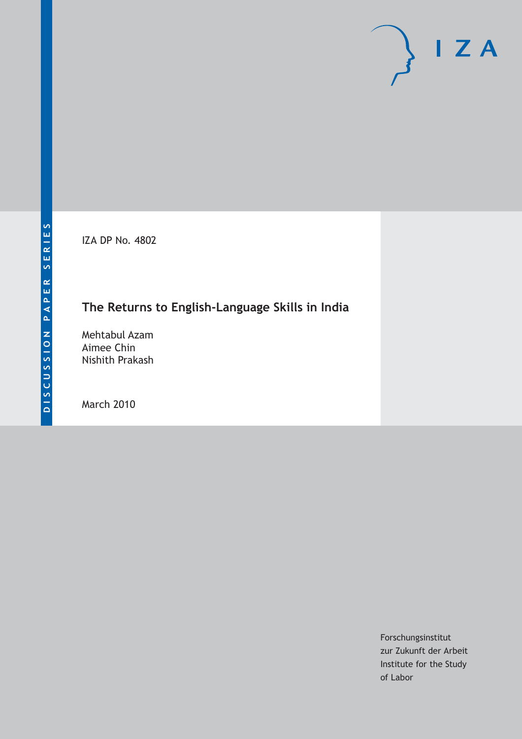IZA DP No. 4802

## **The Returns to English-Language Skills in India**

Mehtabul Azam Aimee Chin Nishith Prakash

March 2010

Forschungsinstitut zur Zukunft der Arbeit Institute for the Study of Labor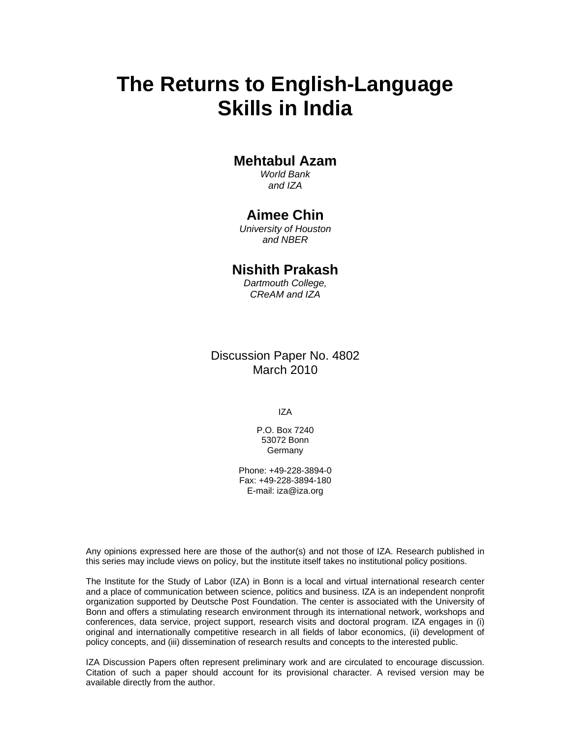# **The Returns to English-Language Skills in India**

### **Mehtabul Azam**

*World Bank and IZA* 

### **Aimee Chin**

*University of Houston and NBER* 

### **Nishith Prakash**

*Dartmouth College, CReAM and IZA* 

### Discussion Paper No. 4802 March 2010

IZA

P.O. Box 7240 53072 Bonn **Germany** 

Phone: +49-228-3894-0 Fax: +49-228-3894-180 E-mail: iza@iza.org

Any opinions expressed here are those of the author(s) and not those of IZA. Research published in this series may include views on policy, but the institute itself takes no institutional policy positions.

The Institute for the Study of Labor (IZA) in Bonn is a local and virtual international research center and a place of communication between science, politics and business. IZA is an independent nonprofit organization supported by Deutsche Post Foundation. The center is associated with the University of Bonn and offers a stimulating research environment through its international network, workshops and conferences, data service, project support, research visits and doctoral program. IZA engages in (i) original and internationally competitive research in all fields of labor economics, (ii) development of policy concepts, and (iii) dissemination of research results and concepts to the interested public.

IZA Discussion Papers often represent preliminary work and are circulated to encourage discussion. Citation of such a paper should account for its provisional character. A revised version may be available directly from the author.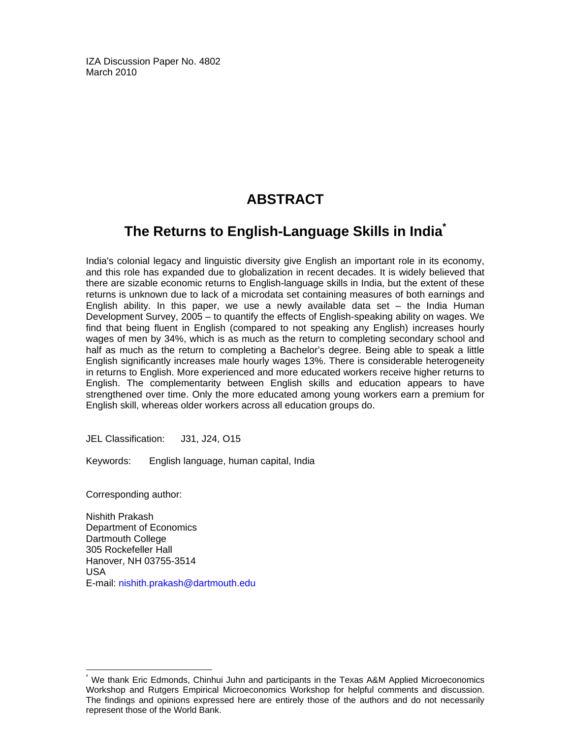IZA Discussion Paper No. 4802 March 2010

## **ABSTRACT**

## **The Returns to English-Language Skills in India\***

India's colonial legacy and linguistic diversity give English an important role in its economy, and this role has expanded due to globalization in recent decades. It is widely believed that there are sizable economic returns to English-language skills in India, but the extent of these returns is unknown due to lack of a microdata set containing measures of both earnings and English ability. In this paper, we use a newly available data set  $-$  the India Human Development Survey, 2005 – to quantify the effects of English-speaking ability on wages. We find that being fluent in English (compared to not speaking any English) increases hourly wages of men by 34%, which is as much as the return to completing secondary school and half as much as the return to completing a Bachelor's degree. Being able to speak a little English significantly increases male hourly wages 13%. There is considerable heterogeneity in returns to English. More experienced and more educated workers receive higher returns to English. The complementarity between English skills and education appears to have strengthened over time. Only the more educated among young workers earn a premium for English skill, whereas older workers across all education groups do.

JEL Classification: J31, J24, O15

Keywords: English language, human capital, India

Corresponding author:

-

Nishith Prakash Department of Economics Dartmouth College 305 Rockefeller Hall Hanover, NH 03755-3514 USA E-mail: nishith.prakash@dartmouth.edu

<sup>\*</sup> We thank Eric Edmonds, Chinhui Juhn and participants in the Texas A&M Applied Microeconomics Workshop and Rutgers Empirical Microeconomics Workshop for helpful comments and discussion. The findings and opinions expressed here are entirely those of the authors and do not necessarily represent those of the World Bank.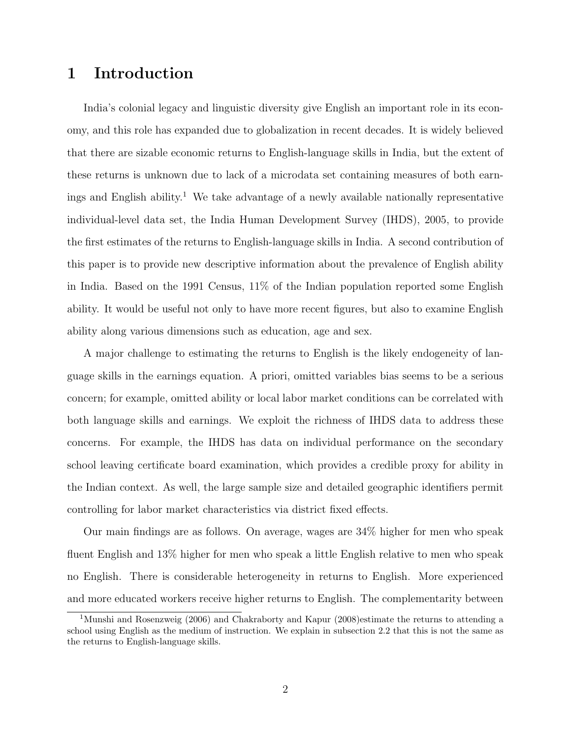## 1 Introduction

India's colonial legacy and linguistic diversity give English an important role in its economy, and this role has expanded due to globalization in recent decades. It is widely believed that there are sizable economic returns to English-language skills in India, but the extent of these returns is unknown due to lack of a microdata set containing measures of both earnings and English ability.<sup>1</sup> We take advantage of a newly available nationally representative individual-level data set, the India Human Development Survey (IHDS), 2005, to provide the first estimates of the returns to English-language skills in India. A second contribution of this paper is to provide new descriptive information about the prevalence of English ability in India. Based on the 1991 Census, 11% of the Indian population reported some English ability. It would be useful not only to have more recent figures, but also to examine English ability along various dimensions such as education, age and sex.

A major challenge to estimating the returns to English is the likely endogeneity of language skills in the earnings equation. A priori, omitted variables bias seems to be a serious concern; for example, omitted ability or local labor market conditions can be correlated with both language skills and earnings. We exploit the richness of IHDS data to address these concerns. For example, the IHDS has data on individual performance on the secondary school leaving certificate board examination, which provides a credible proxy for ability in the Indian context. As well, the large sample size and detailed geographic identifiers permit controlling for labor market characteristics via district fixed effects.

Our main findings are as follows. On average, wages are 34% higher for men who speak fluent English and 13% higher for men who speak a little English relative to men who speak no English. There is considerable heterogeneity in returns to English. More experienced and more educated workers receive higher returns to English. The complementarity between

<sup>&</sup>lt;sup>1</sup>Munshi and Rosenzweig (2006) and Chakraborty and Kapur (2008)estimate the returns to attending a school using English as the medium of instruction. We explain in subsection 2.2 that this is not the same as the returns to English-language skills.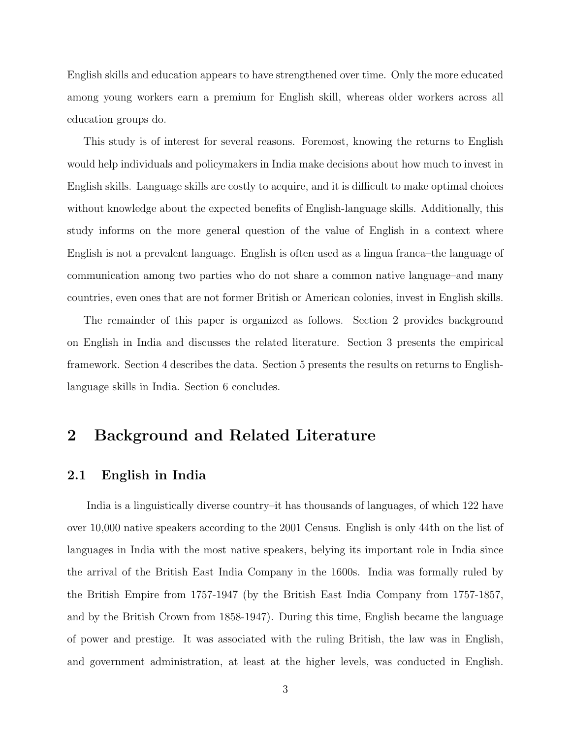English skills and education appears to have strengthened over time. Only the more educated among young workers earn a premium for English skill, whereas older workers across all education groups do.

This study is of interest for several reasons. Foremost, knowing the returns to English would help individuals and policymakers in India make decisions about how much to invest in English skills. Language skills are costly to acquire, and it is difficult to make optimal choices without knowledge about the expected benefits of English-language skills. Additionally, this study informs on the more general question of the value of English in a context where English is not a prevalent language. English is often used as a lingua franca–the language of communication among two parties who do not share a common native language–and many countries, even ones that are not former British or American colonies, invest in English skills.

The remainder of this paper is organized as follows. Section 2 provides background on English in India and discusses the related literature. Section 3 presents the empirical framework. Section 4 describes the data. Section 5 presents the results on returns to Englishlanguage skills in India. Section 6 concludes.

## 2 Background and Related Literature

#### 2.1 English in India

India is a linguistically diverse country–it has thousands of languages, of which 122 have over 10,000 native speakers according to the 2001 Census. English is only 44th on the list of languages in India with the most native speakers, belying its important role in India since the arrival of the British East India Company in the 1600s. India was formally ruled by the British Empire from 1757-1947 (by the British East India Company from 1757-1857, and by the British Crown from 1858-1947). During this time, English became the language of power and prestige. It was associated with the ruling British, the law was in English, and government administration, at least at the higher levels, was conducted in English.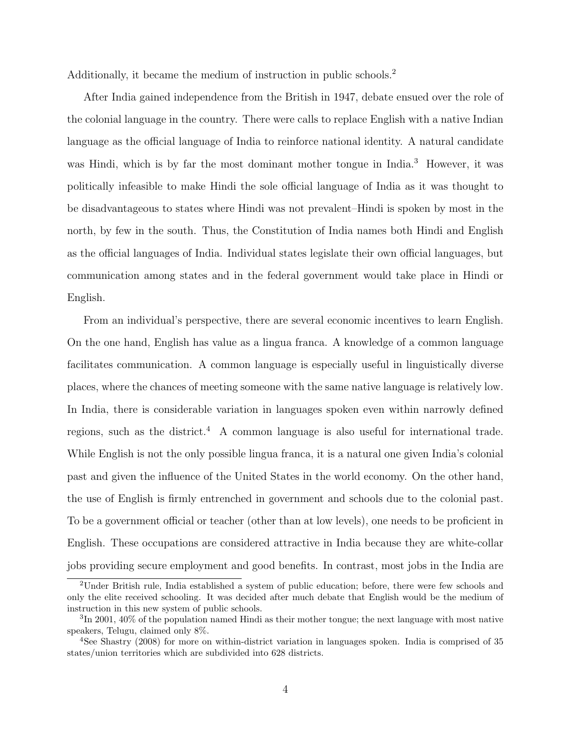Additionally, it became the medium of instruction in public schools.<sup>2</sup>

After India gained independence from the British in 1947, debate ensued over the role of the colonial language in the country. There were calls to replace English with a native Indian language as the official language of India to reinforce national identity. A natural candidate was Hindi, which is by far the most dominant mother tongue in India.<sup>3</sup> However, it was politically infeasible to make Hindi the sole official language of India as it was thought to be disadvantageous to states where Hindi was not prevalent–Hindi is spoken by most in the north, by few in the south. Thus, the Constitution of India names both Hindi and English as the official languages of India. Individual states legislate their own official languages, but communication among states and in the federal government would take place in Hindi or English.

From an individual's perspective, there are several economic incentives to learn English. On the one hand, English has value as a lingua franca. A knowledge of a common language facilitates communication. A common language is especially useful in linguistically diverse places, where the chances of meeting someone with the same native language is relatively low. In India, there is considerable variation in languages spoken even within narrowly defined regions, such as the district.<sup>4</sup> A common language is also useful for international trade. While English is not the only possible lingua franca, it is a natural one given India's colonial past and given the influence of the United States in the world economy. On the other hand, the use of English is firmly entrenched in government and schools due to the colonial past. To be a government official or teacher (other than at low levels), one needs to be proficient in English. These occupations are considered attractive in India because they are white-collar jobs providing secure employment and good benefits. In contrast, most jobs in the India are

<sup>2</sup>Under British rule, India established a system of public education; before, there were few schools and only the elite received schooling. It was decided after much debate that English would be the medium of instruction in this new system of public schools.

<sup>3</sup> In 2001, 40% of the population named Hindi as their mother tongue; the next language with most native speakers, Telugu, claimed only 8%.

<sup>4</sup>See Shastry (2008) for more on within-district variation in languages spoken. India is comprised of 35 states/union territories which are subdivided into 628 districts.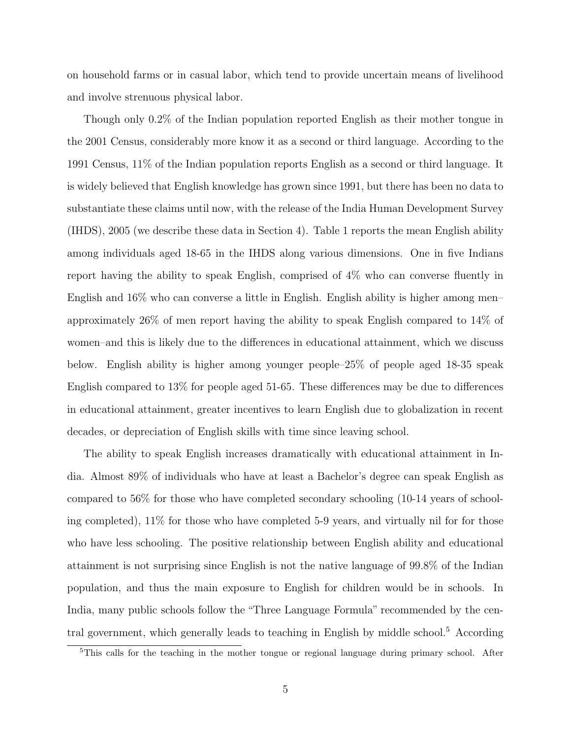on household farms or in casual labor, which tend to provide uncertain means of livelihood and involve strenuous physical labor.

Though only 0.2% of the Indian population reported English as their mother tongue in the 2001 Census, considerably more know it as a second or third language. According to the 1991 Census, 11% of the Indian population reports English as a second or third language. It is widely believed that English knowledge has grown since 1991, but there has been no data to substantiate these claims until now, with the release of the India Human Development Survey (IHDS), 2005 (we describe these data in Section 4). Table 1 reports the mean English ability among individuals aged 18-65 in the IHDS along various dimensions. One in five Indians report having the ability to speak English, comprised of 4% who can converse fluently in English and 16% who can converse a little in English. English ability is higher among men– approximately 26% of men report having the ability to speak English compared to 14% of women–and this is likely due to the differences in educational attainment, which we discuss below. English ability is higher among younger people–25% of people aged 18-35 speak English compared to 13% for people aged 51-65. These differences may be due to differences in educational attainment, greater incentives to learn English due to globalization in recent decades, or depreciation of English skills with time since leaving school.

The ability to speak English increases dramatically with educational attainment in India. Almost 89% of individuals who have at least a Bachelor's degree can speak English as compared to 56% for those who have completed secondary schooling (10-14 years of schooling completed), 11% for those who have completed 5-9 years, and virtually nil for for those who have less schooling. The positive relationship between English ability and educational attainment is not surprising since English is not the native language of 99.8% of the Indian population, and thus the main exposure to English for children would be in schools. In India, many public schools follow the "Three Language Formula" recommended by the central government, which generally leads to teaching in English by middle school.<sup>5</sup> According

<sup>&</sup>lt;sup>5</sup>This calls for the teaching in the mother tongue or regional language during primary school. After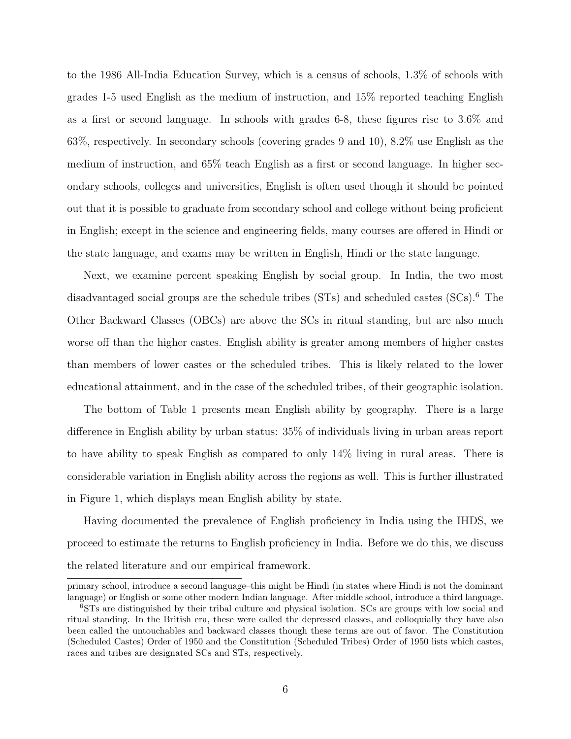to the 1986 All-India Education Survey, which is a census of schools, 1.3% of schools with grades 1-5 used English as the medium of instruction, and 15% reported teaching English as a first or second language. In schools with grades 6-8, these figures rise to 3.6% and 63%, respectively. In secondary schools (covering grades 9 and 10), 8.2% use English as the medium of instruction, and 65% teach English as a first or second language. In higher secondary schools, colleges and universities, English is often used though it should be pointed out that it is possible to graduate from secondary school and college without being proficient in English; except in the science and engineering fields, many courses are offered in Hindi or the state language, and exams may be written in English, Hindi or the state language.

Next, we examine percent speaking English by social group. In India, the two most disadvantaged social groups are the schedule tribes (STs) and scheduled castes (SCs).<sup>6</sup> The Other Backward Classes (OBCs) are above the SCs in ritual standing, but are also much worse off than the higher castes. English ability is greater among members of higher castes than members of lower castes or the scheduled tribes. This is likely related to the lower educational attainment, and in the case of the scheduled tribes, of their geographic isolation.

The bottom of Table 1 presents mean English ability by geography. There is a large difference in English ability by urban status: 35% of individuals living in urban areas report to have ability to speak English as compared to only 14% living in rural areas. There is considerable variation in English ability across the regions as well. This is further illustrated in Figure 1, which displays mean English ability by state.

Having documented the prevalence of English proficiency in India using the IHDS, we proceed to estimate the returns to English proficiency in India. Before we do this, we discuss the related literature and our empirical framework.

primary school, introduce a second language–this might be Hindi (in states where Hindi is not the dominant language) or English or some other modern Indian language. After middle school, introduce a third language.

<sup>6</sup>STs are distinguished by their tribal culture and physical isolation. SCs are groups with low social and ritual standing. In the British era, these were called the depressed classes, and colloquially they have also been called the untouchables and backward classes though these terms are out of favor. The Constitution (Scheduled Castes) Order of 1950 and the Constitution (Scheduled Tribes) Order of 1950 lists which castes, races and tribes are designated SCs and STs, respectively.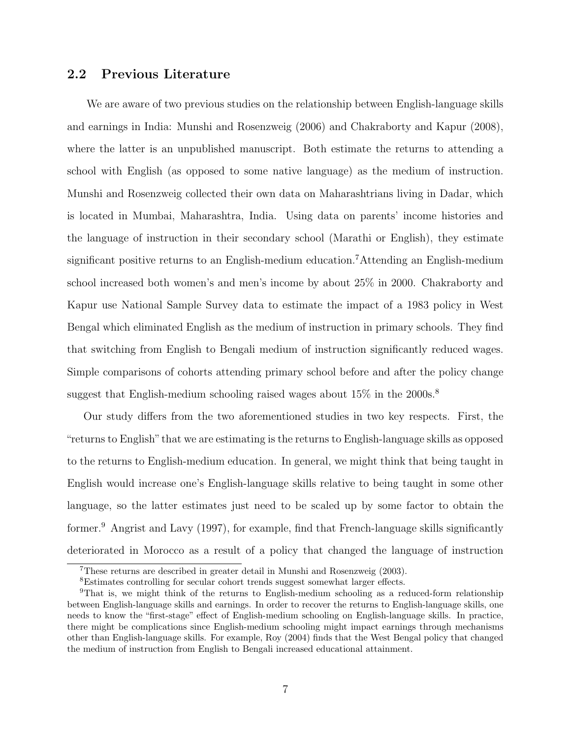### 2.2 Previous Literature

We are aware of two previous studies on the relationship between English-language skills and earnings in India: Munshi and Rosenzweig (2006) and Chakraborty and Kapur (2008), where the latter is an unpublished manuscript. Both estimate the returns to attending a school with English (as opposed to some native language) as the medium of instruction. Munshi and Rosenzweig collected their own data on Maharashtrians living in Dadar, which is located in Mumbai, Maharashtra, India. Using data on parents' income histories and the language of instruction in their secondary school (Marathi or English), they estimate significant positive returns to an English-medium education.<sup>7</sup>Attending an English-medium school increased both women's and men's income by about 25% in 2000. Chakraborty and Kapur use National Sample Survey data to estimate the impact of a 1983 policy in West Bengal which eliminated English as the medium of instruction in primary schools. They find that switching from English to Bengali medium of instruction significantly reduced wages. Simple comparisons of cohorts attending primary school before and after the policy change suggest that English-medium schooling raised wages about  $15\%$  in the  $2000s$ .<sup>8</sup>

Our study differs from the two aforementioned studies in two key respects. First, the "returns to English" that we are estimating is the returns to English-language skills as opposed to the returns to English-medium education. In general, we might think that being taught in English would increase one's English-language skills relative to being taught in some other language, so the latter estimates just need to be scaled up by some factor to obtain the former.<sup>9</sup> Angrist and Lavy (1997), for example, find that French-language skills significantly deteriorated in Morocco as a result of a policy that changed the language of instruction

<sup>7</sup>These returns are described in greater detail in Munshi and Rosenzweig (2003).

<sup>8</sup>Estimates controlling for secular cohort trends suggest somewhat larger effects.

<sup>9</sup>That is, we might think of the returns to English-medium schooling as a reduced-form relationship between English-language skills and earnings. In order to recover the returns to English-language skills, one needs to know the "first-stage" effect of English-medium schooling on English-language skills. In practice, there might be complications since English-medium schooling might impact earnings through mechanisms other than English-language skills. For example, Roy (2004) finds that the West Bengal policy that changed the medium of instruction from English to Bengali increased educational attainment.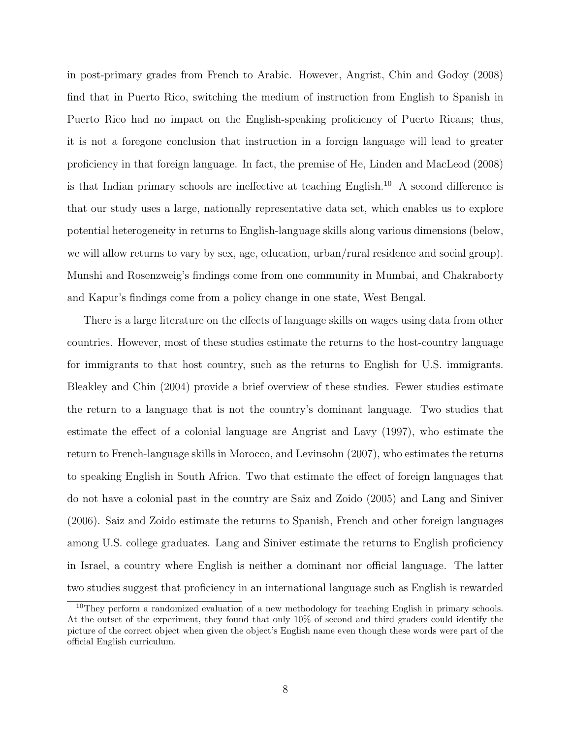in post-primary grades from French to Arabic. However, Angrist, Chin and Godoy (2008) find that in Puerto Rico, switching the medium of instruction from English to Spanish in Puerto Rico had no impact on the English-speaking proficiency of Puerto Ricans; thus, it is not a foregone conclusion that instruction in a foreign language will lead to greater proficiency in that foreign language. In fact, the premise of He, Linden and MacLeod (2008) is that Indian primary schools are ineffective at teaching English.<sup>10</sup> A second difference is that our study uses a large, nationally representative data set, which enables us to explore potential heterogeneity in returns to English-language skills along various dimensions (below, we will allow returns to vary by sex, age, education, urban/rural residence and social group). Munshi and Rosenzweig's findings come from one community in Mumbai, and Chakraborty and Kapur's findings come from a policy change in one state, West Bengal.

There is a large literature on the effects of language skills on wages using data from other countries. However, most of these studies estimate the returns to the host-country language for immigrants to that host country, such as the returns to English for U.S. immigrants. Bleakley and Chin (2004) provide a brief overview of these studies. Fewer studies estimate the return to a language that is not the country's dominant language. Two studies that estimate the effect of a colonial language are Angrist and Lavy (1997), who estimate the return to French-language skills in Morocco, and Levinsohn (2007), who estimates the returns to speaking English in South Africa. Two that estimate the effect of foreign languages that do not have a colonial past in the country are Saiz and Zoido (2005) and Lang and Siniver (2006). Saiz and Zoido estimate the returns to Spanish, French and other foreign languages among U.S. college graduates. Lang and Siniver estimate the returns to English proficiency in Israel, a country where English is neither a dominant nor official language. The latter two studies suggest that proficiency in an international language such as English is rewarded

<sup>&</sup>lt;sup>10</sup>They perform a randomized evaluation of a new methodology for teaching English in primary schools. At the outset of the experiment, they found that only 10% of second and third graders could identify the picture of the correct object when given the object's English name even though these words were part of the official English curriculum.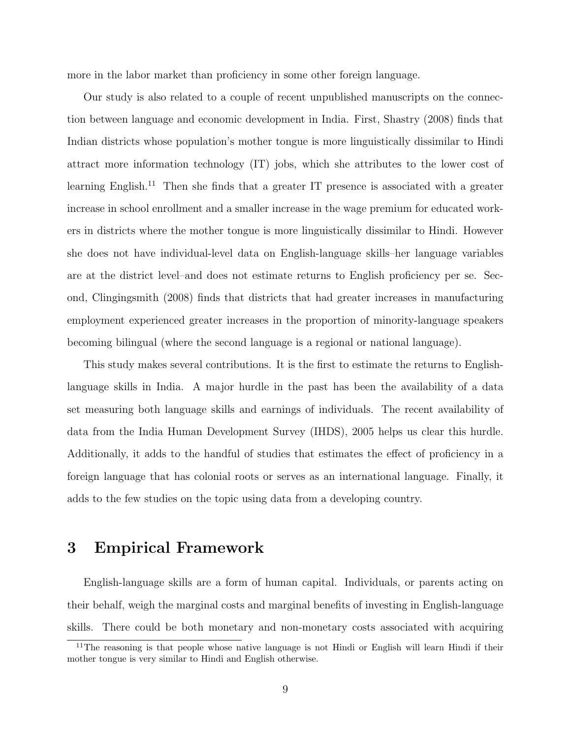more in the labor market than proficiency in some other foreign language.

Our study is also related to a couple of recent unpublished manuscripts on the connection between language and economic development in India. First, Shastry (2008) finds that Indian districts whose population's mother tongue is more linguistically dissimilar to Hindi attract more information technology (IT) jobs, which she attributes to the lower cost of learning English.<sup>11</sup> Then she finds that a greater IT presence is associated with a greater increase in school enrollment and a smaller increase in the wage premium for educated workers in districts where the mother tongue is more linguistically dissimilar to Hindi. However she does not have individual-level data on English-language skills–her language variables are at the district level–and does not estimate returns to English proficiency per se. Second, Clingingsmith (2008) finds that districts that had greater increases in manufacturing employment experienced greater increases in the proportion of minority-language speakers becoming bilingual (where the second language is a regional or national language).

This study makes several contributions. It is the first to estimate the returns to Englishlanguage skills in India. A major hurdle in the past has been the availability of a data set measuring both language skills and earnings of individuals. The recent availability of data from the India Human Development Survey (IHDS), 2005 helps us clear this hurdle. Additionally, it adds to the handful of studies that estimates the effect of proficiency in a foreign language that has colonial roots or serves as an international language. Finally, it adds to the few studies on the topic using data from a developing country.

## 3 Empirical Framework

English-language skills are a form of human capital. Individuals, or parents acting on their behalf, weigh the marginal costs and marginal benefits of investing in English-language skills. There could be both monetary and non-monetary costs associated with acquiring

<sup>&</sup>lt;sup>11</sup>The reasoning is that people whose native language is not Hindi or English will learn Hindi if their mother tongue is very similar to Hindi and English otherwise.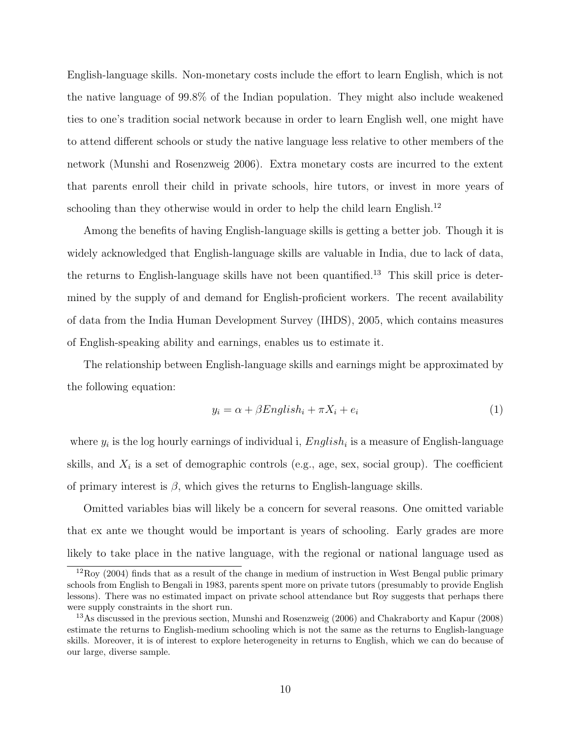English-language skills. Non-monetary costs include the effort to learn English, which is not the native language of 99.8% of the Indian population. They might also include weakened ties to one's tradition social network because in order to learn English well, one might have to attend different schools or study the native language less relative to other members of the network (Munshi and Rosenzweig 2006). Extra monetary costs are incurred to the extent that parents enroll their child in private schools, hire tutors, or invest in more years of schooling than they otherwise would in order to help the child learn English.<sup>12</sup>

Among the benefits of having English-language skills is getting a better job. Though it is widely acknowledged that English-language skills are valuable in India, due to lack of data, the returns to English-language skills have not been quantified.<sup>13</sup> This skill price is determined by the supply of and demand for English-proficient workers. The recent availability of data from the India Human Development Survey (IHDS), 2005, which contains measures of English-speaking ability and earnings, enables us to estimate it.

The relationship between English-language skills and earnings might be approximated by the following equation:

$$
y_i = \alpha + \beta English_i + \pi X_i + e_i \tag{1}
$$

where  $y_i$  is the log hourly earnings of individual i,  $English_i$  is a measure of English-language skills, and  $X_i$  is a set of demographic controls (e.g., age, sex, social group). The coefficient of primary interest is  $\beta$ , which gives the returns to English-language skills.

Omitted variables bias will likely be a concern for several reasons. One omitted variable that ex ante we thought would be important is years of schooling. Early grades are more likely to take place in the native language, with the regional or national language used as

 $12 \text{Roy}$  (2004) finds that as a result of the change in medium of instruction in West Bengal public primary schools from English to Bengali in 1983, parents spent more on private tutors (presumably to provide English lessons). There was no estimated impact on private school attendance but Roy suggests that perhaps there were supply constraints in the short run.

<sup>&</sup>lt;sup>13</sup>As discussed in the previous section, Munshi and Rosenzweig (2006) and Chakraborty and Kapur (2008) estimate the returns to English-medium schooling which is not the same as the returns to English-language skills. Moreover, it is of interest to explore heterogeneity in returns to English, which we can do because of our large, diverse sample.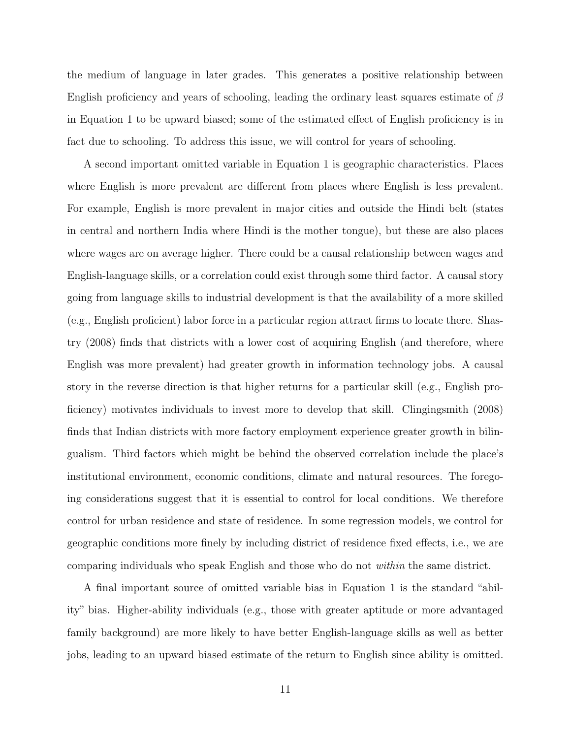the medium of language in later grades. This generates a positive relationship between English proficiency and years of schooling, leading the ordinary least squares estimate of  $\beta$ in Equation 1 to be upward biased; some of the estimated effect of English proficiency is in fact due to schooling. To address this issue, we will control for years of schooling.

A second important omitted variable in Equation 1 is geographic characteristics. Places where English is more prevalent are different from places where English is less prevalent. For example, English is more prevalent in major cities and outside the Hindi belt (states in central and northern India where Hindi is the mother tongue), but these are also places where wages are on average higher. There could be a causal relationship between wages and English-language skills, or a correlation could exist through some third factor. A causal story going from language skills to industrial development is that the availability of a more skilled (e.g., English proficient) labor force in a particular region attract firms to locate there. Shastry (2008) finds that districts with a lower cost of acquiring English (and therefore, where English was more prevalent) had greater growth in information technology jobs. A causal story in the reverse direction is that higher returns for a particular skill (e.g., English proficiency) motivates individuals to invest more to develop that skill. Clingingsmith (2008) finds that Indian districts with more factory employment experience greater growth in bilingualism. Third factors which might be behind the observed correlation include the place's institutional environment, economic conditions, climate and natural resources. The foregoing considerations suggest that it is essential to control for local conditions. We therefore control for urban residence and state of residence. In some regression models, we control for geographic conditions more finely by including district of residence fixed effects, i.e., we are comparing individuals who speak English and those who do not within the same district.

A final important source of omitted variable bias in Equation 1 is the standard "ability" bias. Higher-ability individuals (e.g., those with greater aptitude or more advantaged family background) are more likely to have better English-language skills as well as better jobs, leading to an upward biased estimate of the return to English since ability is omitted.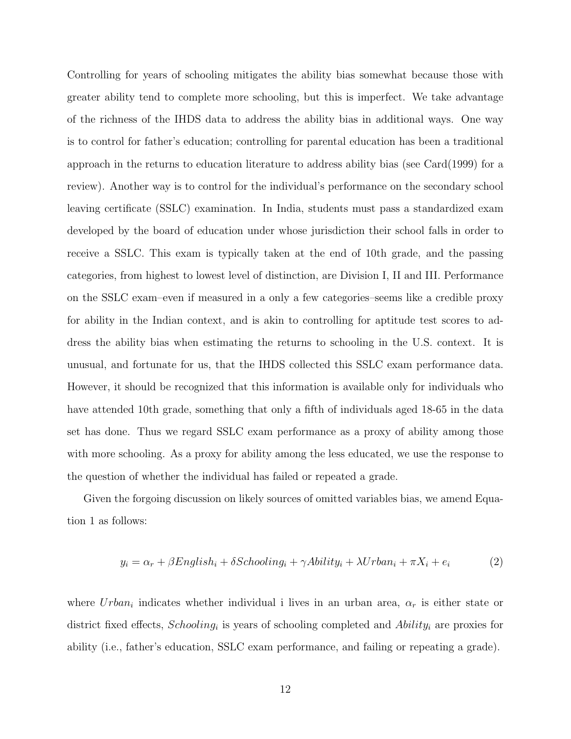Controlling for years of schooling mitigates the ability bias somewhat because those with greater ability tend to complete more schooling, but this is imperfect. We take advantage of the richness of the IHDS data to address the ability bias in additional ways. One way is to control for father's education; controlling for parental education has been a traditional approach in the returns to education literature to address ability bias (see Card(1999) for a review). Another way is to control for the individual's performance on the secondary school leaving certificate (SSLC) examination. In India, students must pass a standardized exam developed by the board of education under whose jurisdiction their school falls in order to receive a SSLC. This exam is typically taken at the end of 10th grade, and the passing categories, from highest to lowest level of distinction, are Division I, II and III. Performance on the SSLC exam–even if measured in a only a few categories–seems like a credible proxy for ability in the Indian context, and is akin to controlling for aptitude test scores to address the ability bias when estimating the returns to schooling in the U.S. context. It is unusual, and fortunate for us, that the IHDS collected this SSLC exam performance data. However, it should be recognized that this information is available only for individuals who have attended 10th grade, something that only a fifth of individuals aged 18-65 in the data set has done. Thus we regard SSLC exam performance as a proxy of ability among those with more schooling. As a proxy for ability among the less educated, we use the response to the question of whether the individual has failed or repeated a grade.

Given the forgoing discussion on likely sources of omitted variables bias, we amend Equation 1 as follows:

$$
y_i = \alpha_r + \beta English_i + \delta Schooling_i + \gamma Ability_i + \lambda Urban_i + \pi X_i + e_i \tag{2}
$$

where  $Urban_i$  indicates whether individual i lives in an urban area,  $\alpha_r$  is either state or district fixed effects,  $Schooling_i$  is years of schooling completed and  $Ability_i$  are proxies for ability (i.e., father's education, SSLC exam performance, and failing or repeating a grade).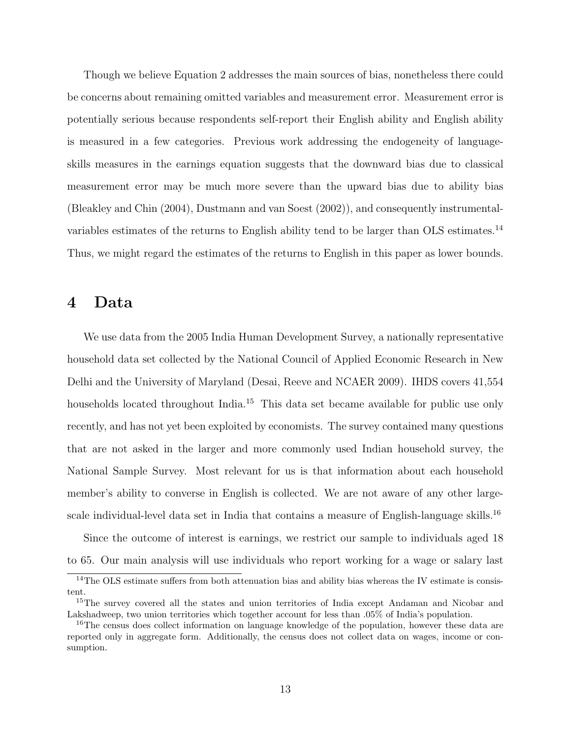Though we believe Equation 2 addresses the main sources of bias, nonetheless there could be concerns about remaining omitted variables and measurement error. Measurement error is potentially serious because respondents self-report their English ability and English ability is measured in a few categories. Previous work addressing the endogeneity of languageskills measures in the earnings equation suggests that the downward bias due to classical measurement error may be much more severe than the upward bias due to ability bias (Bleakley and Chin (2004), Dustmann and van Soest (2002)), and consequently instrumentalvariables estimates of the returns to English ability tend to be larger than OLS estimates.<sup>14</sup> Thus, we might regard the estimates of the returns to English in this paper as lower bounds.

### 4 Data

We use data from the 2005 India Human Development Survey, a nationally representative household data set collected by the National Council of Applied Economic Research in New Delhi and the University of Maryland (Desai, Reeve and NCAER 2009). IHDS covers 41,554 households located throughout India.<sup>15</sup> This data set became available for public use only recently, and has not yet been exploited by economists. The survey contained many questions that are not asked in the larger and more commonly used Indian household survey, the National Sample Survey. Most relevant for us is that information about each household member's ability to converse in English is collected. We are not aware of any other largescale individual-level data set in India that contains a measure of English-language skills.<sup>16</sup>

Since the outcome of interest is earnings, we restrict our sample to individuals aged 18 to 65. Our main analysis will use individuals who report working for a wage or salary last

<sup>&</sup>lt;sup>14</sup>The OLS estimate suffers from both attenuation bias and ability bias whereas the IV estimate is consistent.

<sup>&</sup>lt;sup>15</sup>The survey covered all the states and union territories of India except Andaman and Nicobar and Lakshadweep, two union territories which together account for less than .05% of India's population.

<sup>&</sup>lt;sup>16</sup>The census does collect information on language knowledge of the population, however these data are reported only in aggregate form. Additionally, the census does not collect data on wages, income or consumption.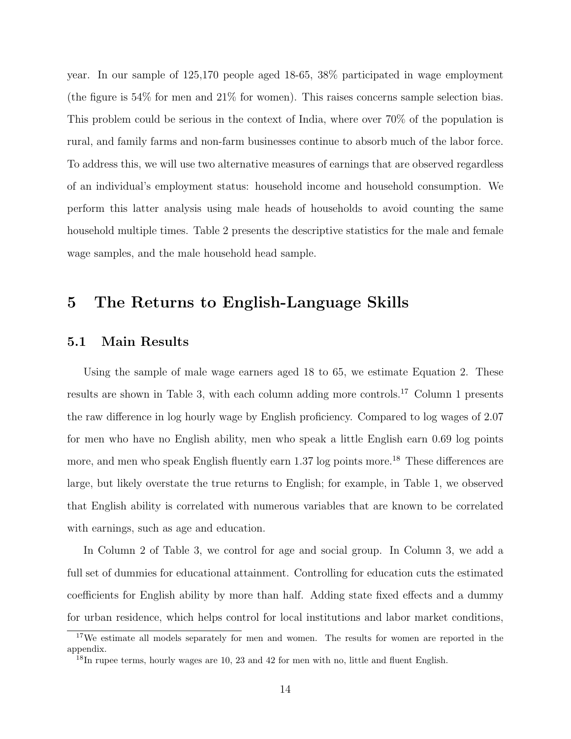year. In our sample of 125,170 people aged 18-65, 38% participated in wage employment (the figure is 54% for men and 21% for women). This raises concerns sample selection bias. This problem could be serious in the context of India, where over 70% of the population is rural, and family farms and non-farm businesses continue to absorb much of the labor force. To address this, we will use two alternative measures of earnings that are observed regardless of an individual's employment status: household income and household consumption. We perform this latter analysis using male heads of households to avoid counting the same household multiple times. Table 2 presents the descriptive statistics for the male and female wage samples, and the male household head sample.

## 5 The Returns to English-Language Skills

#### 5.1 Main Results

Using the sample of male wage earners aged 18 to 65, we estimate Equation 2. These results are shown in Table 3, with each column adding more controls.<sup>17</sup> Column 1 presents the raw difference in log hourly wage by English proficiency. Compared to log wages of 2.07 for men who have no English ability, men who speak a little English earn 0.69 log points more, and men who speak English fluently earn 1.37 log points more.<sup>18</sup> These differences are large, but likely overstate the true returns to English; for example, in Table 1, we observed that English ability is correlated with numerous variables that are known to be correlated with earnings, such as age and education.

In Column 2 of Table 3, we control for age and social group. In Column 3, we add a full set of dummies for educational attainment. Controlling for education cuts the estimated coefficients for English ability by more than half. Adding state fixed effects and a dummy for urban residence, which helps control for local institutions and labor market conditions,

 $17We$  estimate all models separately for men and women. The results for women are reported in the appendix.

 $^{18}$ In rupee terms, hourly wages are 10, 23 and 42 for men with no, little and fluent English.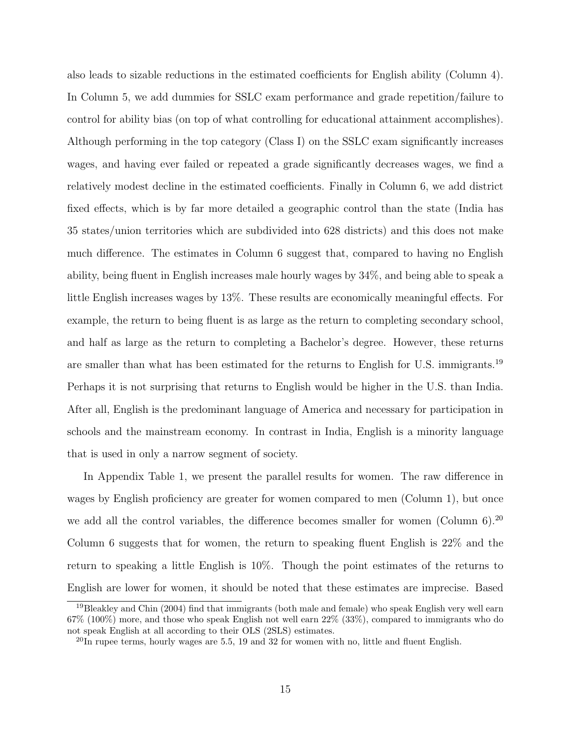also leads to sizable reductions in the estimated coefficients for English ability (Column 4). In Column 5, we add dummies for SSLC exam performance and grade repetition/failure to control for ability bias (on top of what controlling for educational attainment accomplishes). Although performing in the top category (Class I) on the SSLC exam significantly increases wages, and having ever failed or repeated a grade significantly decreases wages, we find a relatively modest decline in the estimated coefficients. Finally in Column 6, we add district fixed effects, which is by far more detailed a geographic control than the state (India has 35 states/union territories which are subdivided into 628 districts) and this does not make much difference. The estimates in Column 6 suggest that, compared to having no English ability, being fluent in English increases male hourly wages by 34%, and being able to speak a little English increases wages by 13%. These results are economically meaningful effects. For example, the return to being fluent is as large as the return to completing secondary school, and half as large as the return to completing a Bachelor's degree. However, these returns are smaller than what has been estimated for the returns to English for U.S. immigrants.<sup>19</sup> Perhaps it is not surprising that returns to English would be higher in the U.S. than India. After all, English is the predominant language of America and necessary for participation in schools and the mainstream economy. In contrast in India, English is a minority language that is used in only a narrow segment of society.

In Appendix Table 1, we present the parallel results for women. The raw difference in wages by English proficiency are greater for women compared to men (Column 1), but once we add all the control variables, the difference becomes smaller for women (Column  $6$ ).<sup>20</sup> Column 6 suggests that for women, the return to speaking fluent English is 22% and the return to speaking a little English is 10%. Though the point estimates of the returns to English are lower for women, it should be noted that these estimates are imprecise. Based

<sup>19</sup>Bleakley and Chin (2004) find that immigrants (both male and female) who speak English very well earn 67% (100%) more, and those who speak English not well earn 22% (33%), compared to immigrants who do not speak English at all according to their OLS (2SLS) estimates.

 $^{20}$ In rupee terms, hourly wages are 5.5, 19 and 32 for women with no, little and fluent English.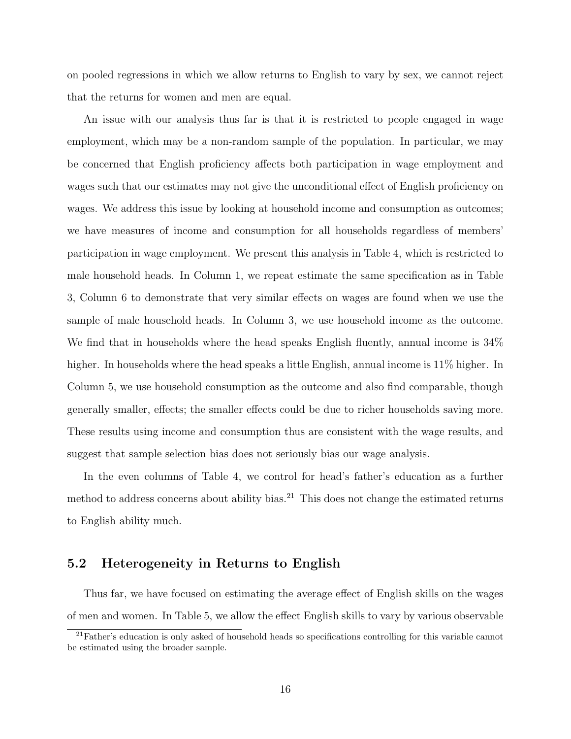on pooled regressions in which we allow returns to English to vary by sex, we cannot reject that the returns for women and men are equal.

An issue with our analysis thus far is that it is restricted to people engaged in wage employment, which may be a non-random sample of the population. In particular, we may be concerned that English proficiency affects both participation in wage employment and wages such that our estimates may not give the unconditional effect of English proficiency on wages. We address this issue by looking at household income and consumption as outcomes; we have measures of income and consumption for all households regardless of members' participation in wage employment. We present this analysis in Table 4, which is restricted to male household heads. In Column 1, we repeat estimate the same specification as in Table 3, Column 6 to demonstrate that very similar effects on wages are found when we use the sample of male household heads. In Column 3, we use household income as the outcome. We find that in households where the head speaks English fluently, annual income is 34% higher. In households where the head speaks a little English, annual income is 11% higher. In Column 5, we use household consumption as the outcome and also find comparable, though generally smaller, effects; the smaller effects could be due to richer households saving more. These results using income and consumption thus are consistent with the wage results, and suggest that sample selection bias does not seriously bias our wage analysis.

In the even columns of Table 4, we control for head's father's education as a further method to address concerns about ability bias. $^{21}$  This does not change the estimated returns to English ability much.

#### 5.2 Heterogeneity in Returns to English

Thus far, we have focused on estimating the average effect of English skills on the wages of men and women. In Table 5, we allow the effect English skills to vary by various observable

 $^{21}$ Father's education is only asked of household heads so specifications controlling for this variable cannot be estimated using the broader sample.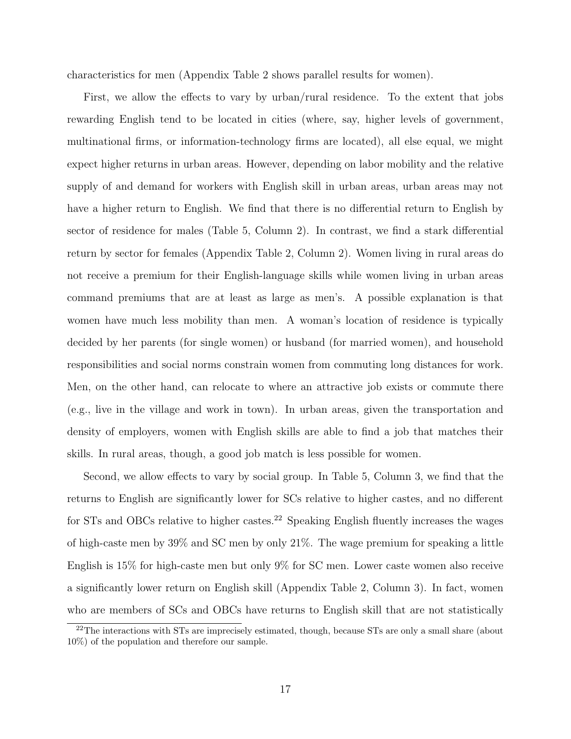characteristics for men (Appendix Table 2 shows parallel results for women).

First, we allow the effects to vary by urban/rural residence. To the extent that jobs rewarding English tend to be located in cities (where, say, higher levels of government, multinational firms, or information-technology firms are located), all else equal, we might expect higher returns in urban areas. However, depending on labor mobility and the relative supply of and demand for workers with English skill in urban areas, urban areas may not have a higher return to English. We find that there is no differential return to English by sector of residence for males (Table 5, Column 2). In contrast, we find a stark differential return by sector for females (Appendix Table 2, Column 2). Women living in rural areas do not receive a premium for their English-language skills while women living in urban areas command premiums that are at least as large as men's. A possible explanation is that women have much less mobility than men. A woman's location of residence is typically decided by her parents (for single women) or husband (for married women), and household responsibilities and social norms constrain women from commuting long distances for work. Men, on the other hand, can relocate to where an attractive job exists or commute there (e.g., live in the village and work in town). In urban areas, given the transportation and density of employers, women with English skills are able to find a job that matches their skills. In rural areas, though, a good job match is less possible for women.

Second, we allow effects to vary by social group. In Table 5, Column 3, we find that the returns to English are significantly lower for SCs relative to higher castes, and no different for STs and OBCs relative to higher castes.<sup>22</sup> Speaking English fluently increases the wages of high-caste men by 39% and SC men by only 21%. The wage premium for speaking a little English is 15% for high-caste men but only 9% for SC men. Lower caste women also receive a significantly lower return on English skill (Appendix Table 2, Column 3). In fact, women who are members of SCs and OBCs have returns to English skill that are not statistically

<sup>&</sup>lt;sup>22</sup>The interactions with STs are imprecisely estimated, though, because STs are only a small share (about 10%) of the population and therefore our sample.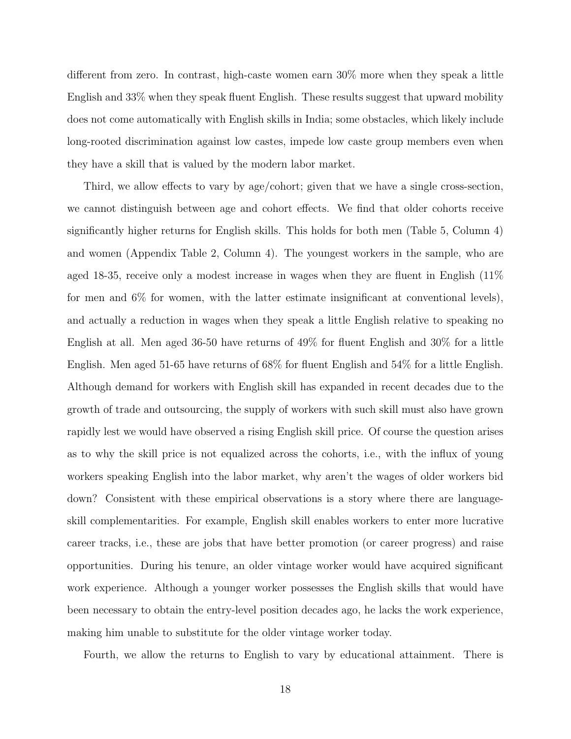different from zero. In contrast, high-caste women earn 30% more when they speak a little English and 33% when they speak fluent English. These results suggest that upward mobility does not come automatically with English skills in India; some obstacles, which likely include long-rooted discrimination against low castes, impede low caste group members even when they have a skill that is valued by the modern labor market.

Third, we allow effects to vary by age/cohort; given that we have a single cross-section, we cannot distinguish between age and cohort effects. We find that older cohorts receive significantly higher returns for English skills. This holds for both men (Table 5, Column 4) and women (Appendix Table 2, Column 4). The youngest workers in the sample, who are aged 18-35, receive only a modest increase in wages when they are fluent in English (11% for men and  $6\%$  for women, with the latter estimate insignificant at conventional levels), and actually a reduction in wages when they speak a little English relative to speaking no English at all. Men aged 36-50 have returns of 49% for fluent English and 30% for a little English. Men aged 51-65 have returns of 68% for fluent English and 54% for a little English. Although demand for workers with English skill has expanded in recent decades due to the growth of trade and outsourcing, the supply of workers with such skill must also have grown rapidly lest we would have observed a rising English skill price. Of course the question arises as to why the skill price is not equalized across the cohorts, i.e., with the influx of young workers speaking English into the labor market, why aren't the wages of older workers bid down? Consistent with these empirical observations is a story where there are languageskill complementarities. For example, English skill enables workers to enter more lucrative career tracks, i.e., these are jobs that have better promotion (or career progress) and raise opportunities. During his tenure, an older vintage worker would have acquired significant work experience. Although a younger worker possesses the English skills that would have been necessary to obtain the entry-level position decades ago, he lacks the work experience, making him unable to substitute for the older vintage worker today.

Fourth, we allow the returns to English to vary by educational attainment. There is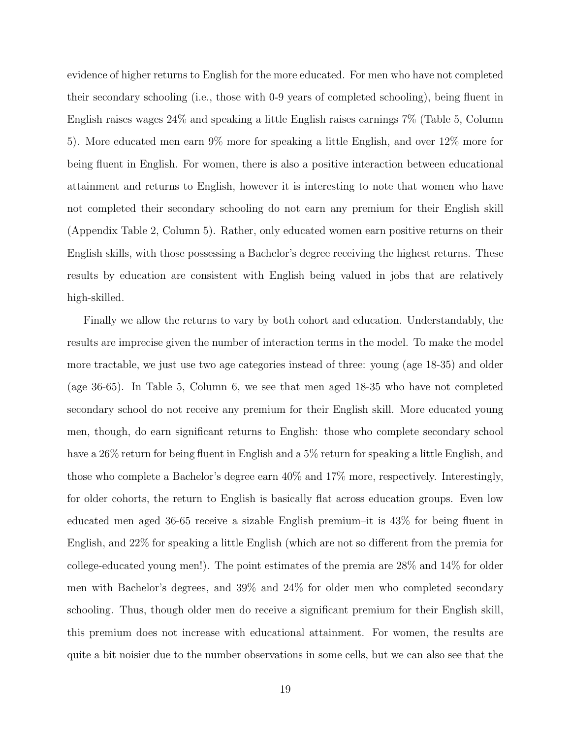evidence of higher returns to English for the more educated. For men who have not completed their secondary schooling (i.e., those with 0-9 years of completed schooling), being fluent in English raises wages 24% and speaking a little English raises earnings 7% (Table 5, Column 5). More educated men earn 9% more for speaking a little English, and over 12% more for being fluent in English. For women, there is also a positive interaction between educational attainment and returns to English, however it is interesting to note that women who have not completed their secondary schooling do not earn any premium for their English skill (Appendix Table 2, Column 5). Rather, only educated women earn positive returns on their English skills, with those possessing a Bachelor's degree receiving the highest returns. These results by education are consistent with English being valued in jobs that are relatively high-skilled.

Finally we allow the returns to vary by both cohort and education. Understandably, the results are imprecise given the number of interaction terms in the model. To make the model more tractable, we just use two age categories instead of three: young (age 18-35) and older (age 36-65). In Table 5, Column 6, we see that men aged 18-35 who have not completed secondary school do not receive any premium for their English skill. More educated young men, though, do earn significant returns to English: those who complete secondary school have a 26% return for being fluent in English and a 5% return for speaking a little English, and those who complete a Bachelor's degree earn 40% and 17% more, respectively. Interestingly, for older cohorts, the return to English is basically flat across education groups. Even low educated men aged 36-65 receive a sizable English premium–it is 43% for being fluent in English, and 22% for speaking a little English (which are not so different from the premia for college-educated young men!). The point estimates of the premia are 28% and 14% for older men with Bachelor's degrees, and 39% and 24% for older men who completed secondary schooling. Thus, though older men do receive a significant premium for their English skill, this premium does not increase with educational attainment. For women, the results are quite a bit noisier due to the number observations in some cells, but we can also see that the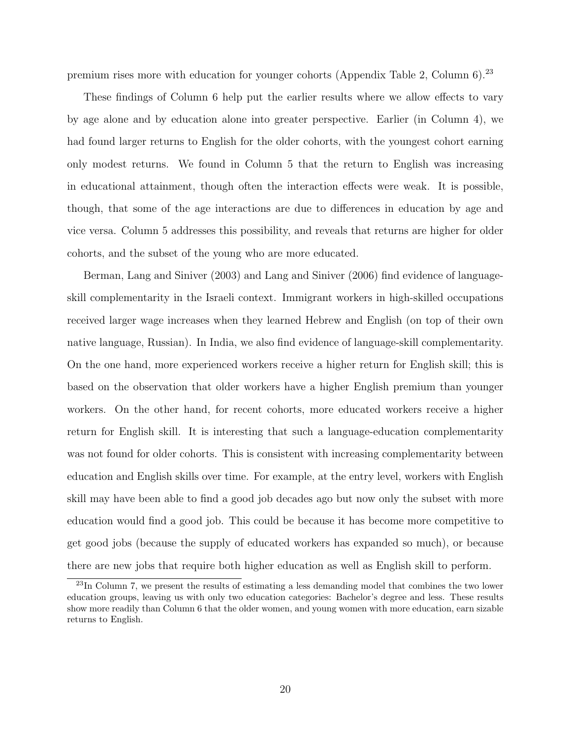premium rises more with education for younger cohorts (Appendix Table 2, Column  $6$ ).<sup>23</sup>

These findings of Column 6 help put the earlier results where we allow effects to vary by age alone and by education alone into greater perspective. Earlier (in Column 4), we had found larger returns to English for the older cohorts, with the youngest cohort earning only modest returns. We found in Column 5 that the return to English was increasing in educational attainment, though often the interaction effects were weak. It is possible, though, that some of the age interactions are due to differences in education by age and vice versa. Column 5 addresses this possibility, and reveals that returns are higher for older cohorts, and the subset of the young who are more educated.

Berman, Lang and Siniver (2003) and Lang and Siniver (2006) find evidence of languageskill complementarity in the Israeli context. Immigrant workers in high-skilled occupations received larger wage increases when they learned Hebrew and English (on top of their own native language, Russian). In India, we also find evidence of language-skill complementarity. On the one hand, more experienced workers receive a higher return for English skill; this is based on the observation that older workers have a higher English premium than younger workers. On the other hand, for recent cohorts, more educated workers receive a higher return for English skill. It is interesting that such a language-education complementarity was not found for older cohorts. This is consistent with increasing complementarity between education and English skills over time. For example, at the entry level, workers with English skill may have been able to find a good job decades ago but now only the subset with more education would find a good job. This could be because it has become more competitive to get good jobs (because the supply of educated workers has expanded so much), or because there are new jobs that require both higher education as well as English skill to perform.

<sup>&</sup>lt;sup>23</sup>In Column 7, we present the results of estimating a less demanding model that combines the two lower education groups, leaving us with only two education categories: Bachelor's degree and less. These results show more readily than Column 6 that the older women, and young women with more education, earn sizable returns to English.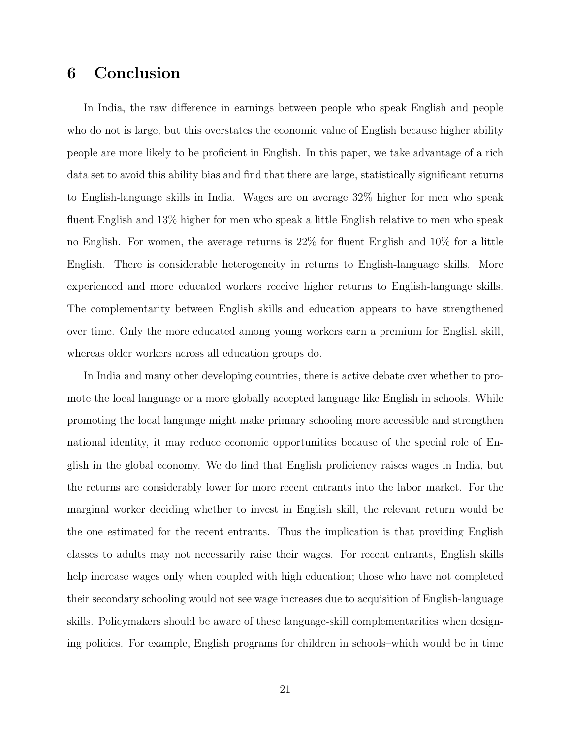## 6 Conclusion

In India, the raw difference in earnings between people who speak English and people who do not is large, but this overstates the economic value of English because higher ability people are more likely to be proficient in English. In this paper, we take advantage of a rich data set to avoid this ability bias and find that there are large, statistically significant returns to English-language skills in India. Wages are on average 32% higher for men who speak fluent English and 13% higher for men who speak a little English relative to men who speak no English. For women, the average returns is 22% for fluent English and 10% for a little English. There is considerable heterogeneity in returns to English-language skills. More experienced and more educated workers receive higher returns to English-language skills. The complementarity between English skills and education appears to have strengthened over time. Only the more educated among young workers earn a premium for English skill, whereas older workers across all education groups do.

In India and many other developing countries, there is active debate over whether to promote the local language or a more globally accepted language like English in schools. While promoting the local language might make primary schooling more accessible and strengthen national identity, it may reduce economic opportunities because of the special role of English in the global economy. We do find that English proficiency raises wages in India, but the returns are considerably lower for more recent entrants into the labor market. For the marginal worker deciding whether to invest in English skill, the relevant return would be the one estimated for the recent entrants. Thus the implication is that providing English classes to adults may not necessarily raise their wages. For recent entrants, English skills help increase wages only when coupled with high education; those who have not completed their secondary schooling would not see wage increases due to acquisition of English-language skills. Policymakers should be aware of these language-skill complementarities when designing policies. For example, English programs for children in schools–which would be in time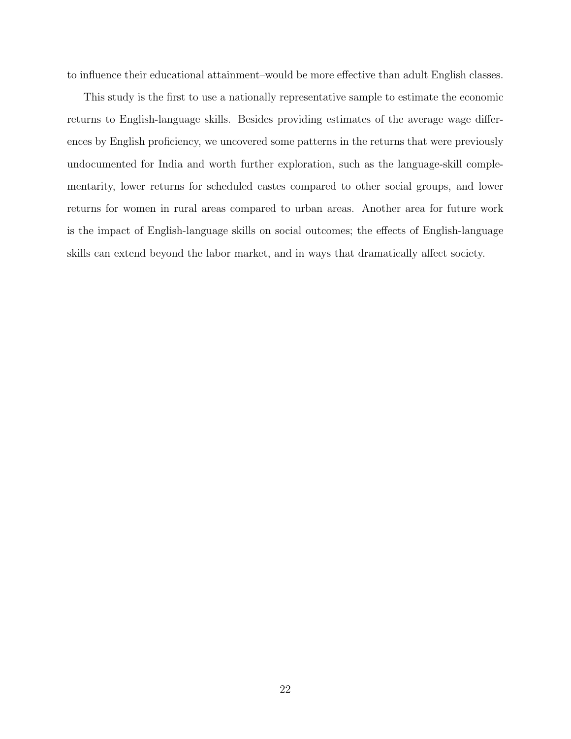to influence their educational attainment–would be more effective than adult English classes.

This study is the first to use a nationally representative sample to estimate the economic returns to English-language skills. Besides providing estimates of the average wage differences by English proficiency, we uncovered some patterns in the returns that were previously undocumented for India and worth further exploration, such as the language-skill complementarity, lower returns for scheduled castes compared to other social groups, and lower returns for women in rural areas compared to urban areas. Another area for future work is the impact of English-language skills on social outcomes; the effects of English-language skills can extend beyond the labor market, and in ways that dramatically affect society.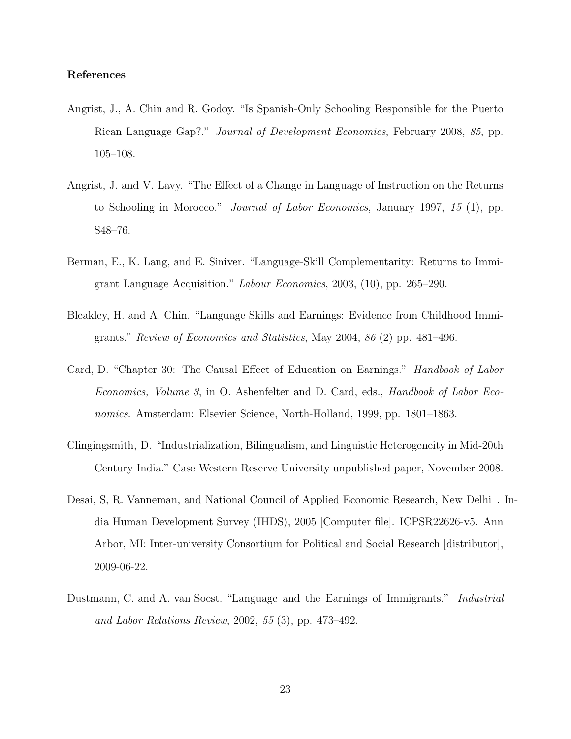#### References

- Angrist, J., A. Chin and R. Godoy. "Is Spanish-Only Schooling Responsible for the Puerto Rican Language Gap?." Journal of Development Economics, February 2008, 85, pp. 105–108.
- Angrist, J. and V. Lavy. "The Effect of a Change in Language of Instruction on the Returns to Schooling in Morocco." Journal of Labor Economics, January 1997, 15 (1), pp. S48–76.
- Berman, E., K. Lang, and E. Siniver. "Language-Skill Complementarity: Returns to Immigrant Language Acquisition." Labour Economics, 2003, (10), pp. 265–290.
- Bleakley, H. and A. Chin. "Language Skills and Earnings: Evidence from Childhood Immigrants." Review of Economics and Statistics, May 2004, 86 (2) pp. 481–496.
- Card, D. "Chapter 30: The Causal Effect of Education on Earnings." Handbook of Labor Economics, Volume 3, in O. Ashenfelter and D. Card, eds., *Handbook of Labor Eco*nomics. Amsterdam: Elsevier Science, North-Holland, 1999, pp. 1801–1863.
- Clingingsmith, D. "Industrialization, Bilingualism, and Linguistic Heterogeneity in Mid-20th Century India." Case Western Reserve University unpublished paper, November 2008.
- Desai, S, R. Vanneman, and National Council of Applied Economic Research, New Delhi . India Human Development Survey (IHDS), 2005 [Computer file]. ICPSR22626-v5. Ann Arbor, MI: Inter-university Consortium for Political and Social Research [distributor], 2009-06-22.
- Dustmann, C. and A. van Soest. "Language and the Earnings of Immigrants." Industrial and Labor Relations Review, 2002, 55 (3), pp. 473–492.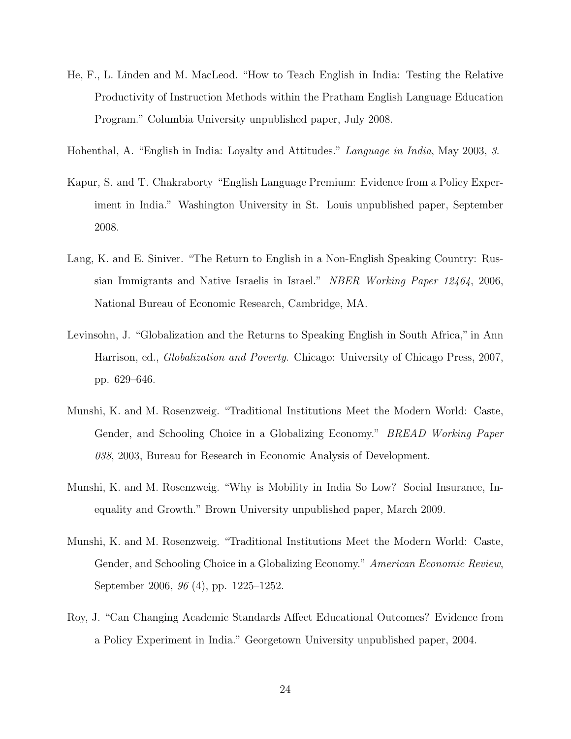- He, F., L. Linden and M. MacLeod. "How to Teach English in India: Testing the Relative Productivity of Instruction Methods within the Pratham English Language Education Program." Columbia University unpublished paper, July 2008.
- Hohenthal, A. "English in India: Loyalty and Attitudes." Language in India, May 2003, 3.
- Kapur, S. and T. Chakraborty "English Language Premium: Evidence from a Policy Experiment in India." Washington University in St. Louis unpublished paper, September 2008.
- Lang, K. and E. Siniver. "The Return to English in a Non-English Speaking Country: Russian Immigrants and Native Israelis in Israel." NBER Working Paper 12464, 2006, National Bureau of Economic Research, Cambridge, MA.
- Levinsohn, J. "Globalization and the Returns to Speaking English in South Africa," in Ann Harrison, ed., Globalization and Poverty. Chicago: University of Chicago Press, 2007, pp. 629–646.
- Munshi, K. and M. Rosenzweig. "Traditional Institutions Meet the Modern World: Caste, Gender, and Schooling Choice in a Globalizing Economy." *BREAD Working Paper* 038, 2003, Bureau for Research in Economic Analysis of Development.
- Munshi, K. and M. Rosenzweig. "Why is Mobility in India So Low? Social Insurance, Inequality and Growth." Brown University unpublished paper, March 2009.
- Munshi, K. and M. Rosenzweig. "Traditional Institutions Meet the Modern World: Caste, Gender, and Schooling Choice in a Globalizing Economy." American Economic Review, September 2006, 96 (4), pp. 1225–1252.
- Roy, J. "Can Changing Academic Standards Affect Educational Outcomes? Evidence from a Policy Experiment in India." Georgetown University unpublished paper, 2004.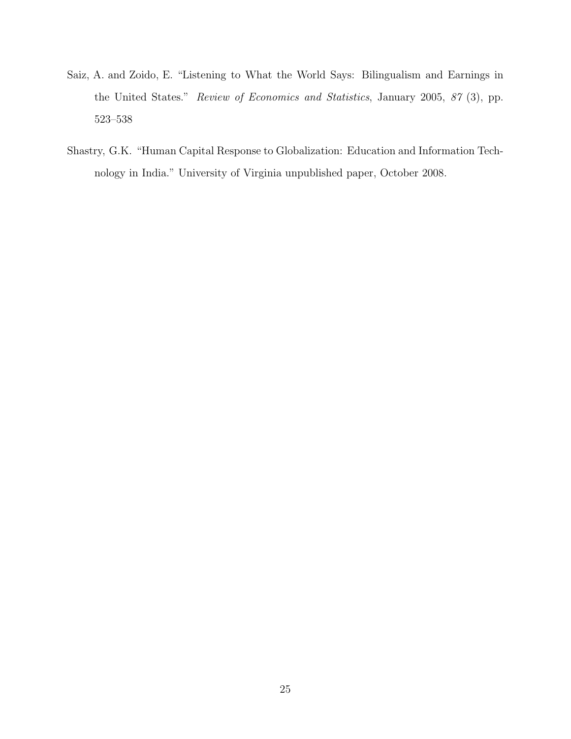- Saiz, A. and Zoido, E. "Listening to What the World Says: Bilingualism and Earnings in the United States." Review of Economics and Statistics, January 2005, 87 (3), pp. 523–538
- Shastry, G.K. "Human Capital Response to Globalization: Education and Information Technology in India." University of Virginia unpublished paper, October 2008.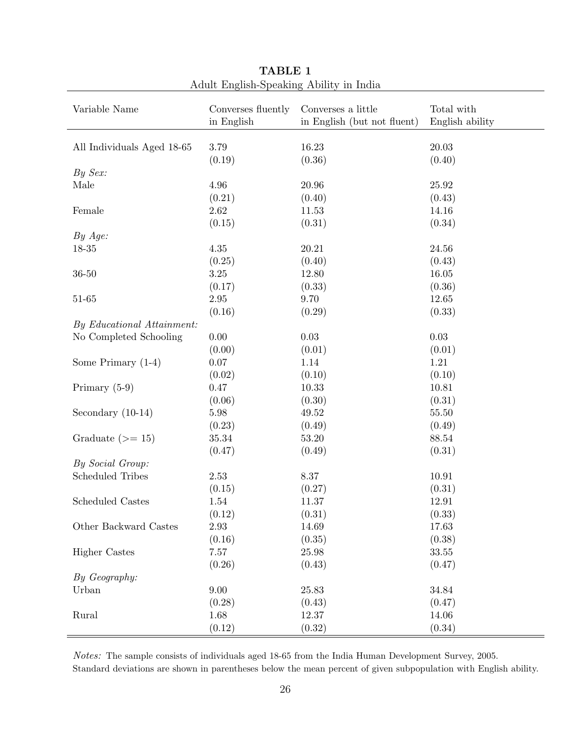| Variable Name              | Converses fluently<br>in English | Converses a little<br>in English (but not fluent) | Total with<br>English ability |
|----------------------------|----------------------------------|---------------------------------------------------|-------------------------------|
| All Individuals Aged 18-65 | 3.79                             | 16.23                                             | 20.03                         |
|                            | (0.19)                           | (0.36)                                            | (0.40)                        |
| By Sex:                    |                                  |                                                   |                               |
| Male                       | 4.96                             | 20.96                                             | 25.92                         |
|                            | (0.21)                           | (0.40)                                            | (0.43)                        |
| Female                     | $2.62\,$                         | 11.53                                             | 14.16                         |
|                            | (0.15)                           | (0.31)                                            | (0.34)                        |
| By Age:                    |                                  |                                                   |                               |
| $18 - 35$                  | 4.35                             | 20.21                                             | 24.56                         |
|                            | (0.25)                           | (0.40)                                            | (0.43)                        |
| $36 - 50$                  | $3.25\,$                         | 12.80                                             | 16.05                         |
|                            | (0.17)                           | (0.33)                                            | (0.36)                        |
| $51 - 65$                  | $2.95\,$                         | 9.70                                              | 12.65                         |
|                            | (0.16)                           | (0.29)                                            | (0.33)                        |
| By Educational Attainment: |                                  |                                                   |                               |
| No Completed Schooling     | $0.00\,$                         | 0.03                                              | $0.03\,$                      |
|                            | (0.00)                           | (0.01)                                            | (0.01)                        |
| Some Primary $(1-4)$       | $0.07\,$                         | 1.14                                              | 1.21                          |
|                            | (0.02)                           | (0.10)                                            | (0.10)                        |
| Primary (5-9)              | 0.47                             | 10.33                                             | 10.81                         |
|                            | (0.06)                           | (0.30)                                            | (0.31)                        |
| Secondary $(10-14)$        | $5.98\,$                         | 49.52                                             | $55.50\,$                     |
|                            | (0.23)                           | (0.49)                                            | (0.49)                        |
| Graduate $(>= 15)$         | 35.34                            | 53.20                                             | 88.54                         |
|                            | (0.47)                           | (0.49)                                            | (0.31)                        |
| By Social Group:           |                                  |                                                   |                               |
| <b>Scheduled Tribes</b>    | 2.53                             | 8.37                                              | 10.91                         |
|                            | (0.15)                           | (0.27)                                            | (0.31)                        |
| Scheduled Castes           | 1.54                             | 11.37                                             | 12.91                         |
|                            | (0.12)                           | (0.31)                                            | (0.33)                        |
| Other Backward Castes      | 2.93                             | 14.69                                             | 17.63                         |
|                            | (0.16)                           | (0.35)                                            | (0.38)                        |
| <b>Higher Castes</b>       | $7.57\,$                         | $25.98\,$                                         | 33.55                         |
|                            | (0.26)                           | (0.43)                                            | (0.47)                        |
| By Geography:              |                                  |                                                   |                               |
| Urban                      | 9.00                             | 25.83                                             | 34.84                         |
|                            | (0.28)                           | (0.43)                                            | (0.47)                        |
| Rural                      | 1.68                             | 12.37                                             | 14.06                         |
|                            | (0.12)                           | (0.32)                                            | (0.34)                        |

TABLE 1 Adult English-Speaking Ability in India

Notes: The sample consists of individuals aged 18-65 from the India Human Development Survey, 2005. Standard deviations are shown in parentheses below the mean percent of given subpopulation with English ability.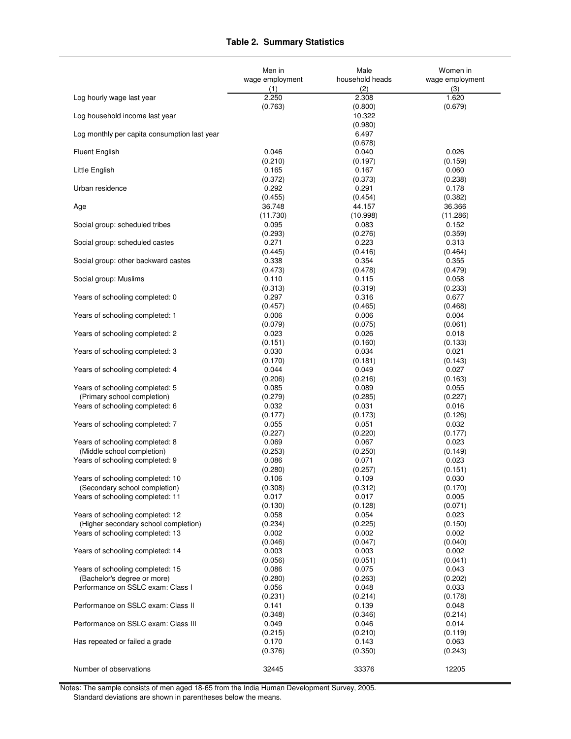#### **Table 2. Summary Statistics**

|                                              | Men in                      | Male                        | Women in                    |
|----------------------------------------------|-----------------------------|-----------------------------|-----------------------------|
|                                              | wage employment             | household heads             | wage employment             |
|                                              | (1)                         | (2)                         | (3)                         |
| Log hourly wage last year                    | 2.250                       | 2.308                       | 1.620                       |
|                                              | (0.763)                     | (0.800)                     | (0.679)                     |
| Log household income last year               |                             | 10.322                      |                             |
| Log monthly per capita consumption last year |                             | (0.980)<br>6.497            |                             |
| <b>Fluent English</b>                        | 0.046                       | (0.678)<br>0.040            | 0.026                       |
| Little English                               | (0.210)                     | (0.197)                     | (0.159)                     |
|                                              | 0.165                       | 0.167                       | 0.060                       |
| Urban residence                              | (0.372)                     | (0.373)                     | (0.238)                     |
|                                              | 0.292                       | 0.291                       | 0.178                       |
| Age                                          | (0.455)                     | (0.454)                     | (0.382)                     |
|                                              | 36.748                      | 44.157                      | 36.366                      |
| Social group: scheduled tribes               | (11.730)                    | (10.998)                    | (11.286)                    |
|                                              | 0.095                       | 0.083                       | 0.152                       |
| Social group: scheduled castes               | (0.293)<br>0.271            | (0.276)<br>0.223            | (0.359)<br>0.313<br>(0.464) |
| Social group: other backward castes          | (0.445)<br>0.338<br>(0.473) | (0.416)<br>0.354            | 0.355<br>(0.479)            |
| Social group: Muslims                        | 0.110<br>(0.313)            | (0.478)<br>0.115<br>(0.319) | 0.058<br>(0.233)            |
| Years of schooling completed: 0              | 0.297                       | 0.316                       | 0.677                       |
|                                              | (0.457)                     | (0.465)                     | (0.468)                     |
| Years of schooling completed: 1              | 0.006                       | 0.006                       | 0.004                       |
|                                              | (0.079)                     | (0.075)                     | (0.061)                     |
| Years of schooling completed: 2              | 0.023                       | 0.026                       | 0.018                       |
|                                              | (0.151)                     | (0.160)                     | (0.133)                     |
| Years of schooling completed: 3              | 0.030                       | 0.034                       | 0.021                       |
|                                              | (0.170)                     | (0.181)                     | (0.143)                     |
| Years of schooling completed: 4              | 0.044                       | 0.049                       | 0.027                       |
|                                              | (0.206)                     | (0.216)                     | (0.163)                     |
| Years of schooling completed: 5              | 0.085                       | 0.089                       | 0.055                       |
| (Primary school completion)                  | (0.279)                     | (0.285)                     | (0.227)                     |
| Years of schooling completed: 6              | 0.032                       | 0.031                       | 0.016                       |
|                                              | (0.177)                     | (0.173)                     | (0.126)                     |
| Years of schooling completed: 7              | 0.055                       | 0.051                       | 0.032                       |
|                                              | (0.227)                     | (0.220)                     | (0.177)                     |
| Years of schooling completed: 8              | 0.069                       | 0.067                       | 0.023                       |
| (Middle school completion)                   | (0.253)                     | (0.250)                     | (0.149)                     |
| Years of schooling completed: 9              | 0.086                       | 0.071                       | 0.023                       |
|                                              | (0.280)                     | (0.257)                     | (0.151)                     |
| Years of schooling completed: 10             | 0.106                       | 0.109                       | 0.030                       |
| (Secondary school completion)                | (0.308)                     | (0.312)                     | (0.170)                     |
| Years of schooling completed: 11             | 0.017                       | 0.017                       | 0.005                       |
|                                              | (0.130)                     | (0.128)                     | (0.071)                     |
| Years of schooling completed: 12             | 0.058                       | 0.054                       | 0.023                       |
| (Higher secondary school completion)         | (0.234)                     | (0.225)                     | (0.150)                     |
| Years of schooling completed: 13             | 0.002                       | 0.002                       | 0.002                       |
|                                              | (0.046)                     | (0.047)                     | (0.040)                     |
| Years of schooling completed: 14             | 0.003                       | 0.003                       | 0.002                       |
|                                              | (0.056)                     | (0.051)                     | (0.041)                     |
| Years of schooling completed: 15             | 0.086                       | 0.075                       | 0.043                       |
| (Bachelor's degree or more)                  | (0.280)                     | (0.263)                     | (0.202)                     |
| Performance on SSLC exam: Class I            | 0.056                       | 0.048                       | 0.033                       |
|                                              | (0.231)                     | (0.214)                     | (0.178)                     |
| Performance on SSLC exam: Class II           | 0.141                       | 0.139                       | 0.048                       |
|                                              | (0.348)                     | (0.346)                     | (0.214)                     |
| Performance on SSLC exam: Class III          | 0.049                       | 0.046                       | 0.014                       |
|                                              | (0.215)                     | (0.210)                     | (0.119)                     |
| Has repeated or failed a grade               | 0.170                       | 0.143                       | 0.063                       |
|                                              | (0.376)                     | (0.350)                     | (0.243)                     |
| Number of observations                       | 32445                       | 33376                       | 12205                       |

Notes: The sample consists of men aged 18-65 from the India Human Development Survey, 2005. Standard deviations are shown in parentheses below the means.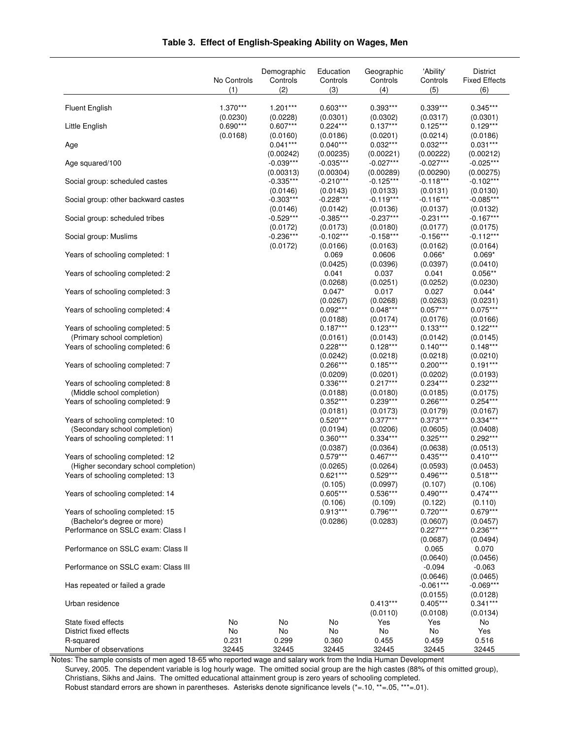|                                                                   | No Controls<br>(1)   | Demographic<br>Controls<br>(2) | Education<br>Controls<br>(3) | Geographic<br>Controls<br>(4) | 'Ability'<br>Controls<br>(5) | <b>District</b><br><b>Fixed Effects</b><br>(6) |
|-------------------------------------------------------------------|----------------------|--------------------------------|------------------------------|-------------------------------|------------------------------|------------------------------------------------|
|                                                                   |                      |                                |                              |                               |                              |                                                |
| <b>Fluent English</b>                                             | 1.370***<br>(0.0230) | $1.201***$<br>(0.0228)         | $0.603***$<br>(0.0301)       | $0.393***$<br>(0.0302)        | $0.339***$<br>(0.0317)       | $0.345***$<br>(0.0301)                         |
| Little English                                                    | $0.690***$           | $0.607***$                     | $0.224***$                   | $0.137***$                    | $0.125***$                   | $0.129***$                                     |
|                                                                   | (0.0168)             | (0.0160)                       | (0.0186)                     | (0.0201)                      | (0.0214)                     | (0.0186)                                       |
| Age                                                               |                      | $0.041***$<br>(0.00242)        | $0.040***$<br>(0.00235)      | $0.032***$<br>(0.00221)       | $0.032***$<br>(0.00222)      | $0.031***$<br>(0.00212)                        |
| Age squared/100                                                   |                      | $-0.039***$                    | $-0.035***$                  | $-0.027***$                   | $-0.027***$                  | $-0.025***$                                    |
|                                                                   |                      | (0.00313)                      | (0.00304)                    | (0.00289)                     | (0.00290)                    | (0.00275)                                      |
| Social group: scheduled castes                                    |                      | $-0.335***$<br>(0.0146)        | $-0.210***$<br>(0.0143)      | $-0.125***$<br>(0.0133)       | $-0.118***$<br>(0.0131)      | $-0.102***$<br>(0.0130)                        |
| Social group: other backward castes                               |                      | $-0.303***$                    | $-0.228***$                  | $-0.119***$                   | $-0.116***$                  | $-0.085***$                                    |
|                                                                   |                      | (0.0146)                       | (0.0142)                     | (0.0136)                      | (0.0137)                     | (0.0132)                                       |
| Social group: scheduled tribes                                    |                      | $-0.529***$<br>(0.0172)        | $-0.385***$<br>(0.0173)      | $-0.237***$<br>(0.0180)       | $-0.231***$<br>(0.0177)      | $-0.167***$<br>(0.0175)                        |
| Social group: Muslims                                             |                      | $-0.236***$                    | $-0.102***$                  | $-0.158***$                   | $-0.156***$                  | $-0.112***$                                    |
|                                                                   |                      | (0.0172)                       | (0.0166)                     | (0.0163)                      | (0.0162)                     | (0.0164)                                       |
| Years of schooling completed: 1                                   |                      |                                | 0.069                        | 0.0606                        | $0.066*$                     | $0.069*$                                       |
| Years of schooling completed: 2                                   |                      |                                | (0.0425)<br>0.041            | (0.0396)<br>0.037             | (0.0397)<br>0.041            | (0.0410)<br>$0.056**$                          |
|                                                                   |                      |                                | (0.0268)                     | (0.0251)                      | (0.0252)                     | (0.0230)                                       |
| Years of schooling completed: 3                                   |                      |                                | $0.047*$                     | 0.017                         | 0.027                        | $0.044*$                                       |
|                                                                   |                      |                                | (0.0267)<br>$0.092***$       | (0.0268)<br>$0.048***$        | (0.0263)<br>$0.057***$       | (0.0231)<br>$0.075***$                         |
| Years of schooling completed: 4                                   |                      |                                | (0.0188)                     | (0.0174)                      | (0.0176)                     | (0.0166)                                       |
| Years of schooling completed: 5                                   |                      |                                | $0.187***$                   | $0.123***$                    | $0.133***$                   | $0.122***$                                     |
| (Primary school completion)                                       |                      |                                | (0.0161)                     | (0.0143)                      | (0.0142)                     | (0.0145)                                       |
| Years of schooling completed: 6                                   |                      |                                | $0.228***$<br>(0.0242)       | $0.128***$<br>(0.0218)        | $0.140***$<br>(0.0218)       | $0.148***$<br>(0.0210)                         |
| Years of schooling completed: 7                                   |                      |                                | $0.266***$                   | $0.185***$                    | $0.200***$                   | $0.191***$                                     |
|                                                                   |                      |                                | (0.0209)                     | (0.0201)                      | (0.0202)                     | (0.0193)                                       |
| Years of schooling completed: 8<br>(Middle school completion)     |                      |                                | $0.336***$                   | $0.217***$                    | $0.234***$                   | $0.232***$                                     |
| Years of schooling completed: 9                                   |                      |                                | (0.0188)<br>$0.352***$       | (0.0180)<br>$0.239***$        | (0.0185)<br>$0.266***$       | (0.0175)<br>$0.254***$                         |
|                                                                   |                      |                                | (0.0181)                     | (0.0173)                      | (0.0179)                     | (0.0167)                                       |
| Years of schooling completed: 10                                  |                      |                                | $0.520***$                   | $0.377***$                    | $0.373***$                   | $0.334***$                                     |
| (Secondary school completion)<br>Years of schooling completed: 11 |                      |                                | (0.0194)<br>$0.360***$       | (0.0206)<br>$0.334***$        | (0.0605)<br>$0.325***$       | (0.0408)<br>$0.292***$                         |
|                                                                   |                      |                                | (0.0387)                     | (0.0364)                      | (0.0638)                     | (0.0513)                                       |
| Years of schooling completed: 12                                  |                      |                                | $0.579***$                   | $0.467***$                    | $0.435***$                   | $0.410***$                                     |
| (Higher secondary school completion)                              |                      |                                | (0.0265)<br>$0.621***$       | (0.0264)<br>$0.529***$        | (0.0593)<br>$0.496***$       | (0.0453)<br>$0.518***$                         |
| Years of schooling completed: 13                                  |                      |                                | (0.105)                      | (0.0997)                      | (0.107)                      | (0.106)                                        |
| Years of schooling completed: 14                                  |                      |                                | $0.605***$                   | $0.536***$                    | $0.490***$                   | $0.474***$                                     |
|                                                                   |                      |                                | (0.106)                      | (0.109)                       | (0.122)                      | (0.110)                                        |
| Years of schooling completed: 15<br>(Bachelor's degree or more)   |                      |                                | $0.913***$<br>(0.0286)       | $0.796***$<br>(0.0283)        | $0.720***$<br>(0.0607)       | $0.679***$<br>(0.0457)                         |
| Performance on SSLC exam: Class I                                 |                      |                                |                              |                               | $0.227***$                   | $0.236***$                                     |
|                                                                   |                      |                                |                              |                               | (0.0687)                     | (0.0494)                                       |
| Performance on SSLC exam: Class II                                |                      |                                |                              |                               | 0.065<br>(0.0640)            | 0.070<br>(0.0456)                              |
| Performance on SSLC exam: Class III                               |                      |                                |                              |                               | $-0.094$                     | $-0.063$                                       |
|                                                                   |                      |                                |                              |                               | (0.0646)                     | (0.0465)                                       |
| Has repeated or failed a grade                                    |                      |                                |                              |                               | $-0.061***$                  | $-0.069***$                                    |
| Urban residence                                                   |                      |                                |                              | $0.413***$                    | (0.0155)<br>$0.405***$       | (0.0128)<br>$0.341***$                         |
|                                                                   |                      |                                |                              | (0.0110)                      | (0.0108)                     | (0.0134)                                       |
| State fixed effects                                               | No                   | No                             | No                           | Yes                           | Yes                          | No                                             |
| District fixed effects<br>R-squared                               | No<br>0.231          | No<br>0.299                    | No<br>0.360                  | No<br>0.455                   | No<br>0.459                  | Yes<br>0.516                                   |
| Number of observations                                            | 32445                | 32445                          | 32445                        | 32445                         | 32445                        | 32445                                          |

#### **Table 3. Effect of English-Speaking Ability on Wages, Men**

Notes: The sample consists of men aged 18-65 who reported wage and salary work from the India Human Development Survey, 2005. The dependent variable is log hourly wage. The omitted social group are the high castes (88% of this omitted group), Christians, Sikhs and Jains. The omitted educational attainment group is zero years of schooling completed. Robust standard errors are shown in parentheses. Asterisks denote significance levels (\*=.10, \*\*=.05, \*\*\*=.01).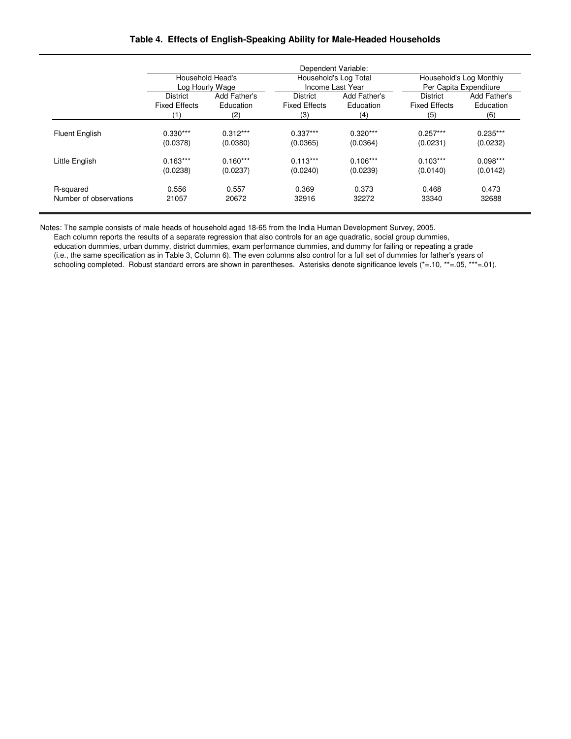#### **Table 4. Effects of English-Speaking Ability for Male-Headed Households**

|                        | Dependent Variable:                 |              |                      |                                           |                                                   |              |  |  |
|------------------------|-------------------------------------|--------------|----------------------|-------------------------------------------|---------------------------------------------------|--------------|--|--|
|                        | Household Head's<br>Log Hourly Wage |              |                      | Household's Log Total<br>Income Last Year | Household's Log Monthly<br>Per Capita Expenditure |              |  |  |
|                        | <b>District</b>                     | Add Father's | <b>District</b>      | Add Father's                              | <b>District</b>                                   | Add Father's |  |  |
|                        | <b>Fixed Effects</b>                | Education    | <b>Fixed Effects</b> | Education                                 | <b>Fixed Effects</b>                              | Education    |  |  |
|                        | (1)                                 | (2)          | (3)                  | (4)                                       | (5)                                               | (6)          |  |  |
| <b>Fluent English</b>  | $0.330***$                          | $0.312***$   | $0.337***$           | $0.320***$                                | $0.257***$                                        | $0.235***$   |  |  |
|                        | (0.0378)                            | (0.0380)     | (0.0365)             | (0.0364)                                  | (0.0231)                                          | (0.0232)     |  |  |
| Little English         | $0.163***$                          | $0.160***$   | $0.113***$           | $0.106***$                                | $0.103***$                                        | $0.098***$   |  |  |
|                        | (0.0238)                            | (0.0237)     | (0.0240)             | (0.0239)                                  | (0.0140)                                          | (0.0142)     |  |  |
| R-squared              | 0.556                               | 0.557        | 0.369                | 0.373                                     | 0.468                                             | 0.473        |  |  |
| Number of observations | 21057                               | 20672        | 32916                | 32272                                     | 33340                                             | 32688        |  |  |

Notes: The sample consists of male heads of household aged 18-65 from the India Human Development Survey, 2005.

Each column reports the results of a separate regression that also controls for an age quadratic, social group dummies,

education dummies, urban dummy, district dummies, exam performance dummies, and dummy for failing or repeating a grade (i.e., the same specification as in Table 3, Column 6). The even columns also control for a full set of dummies for father's years of schooling completed. Robust standard errors are shown in parentheses. Asterisks denote significance levels (\*=.10, \*\*=.05, \*\*\*=.01).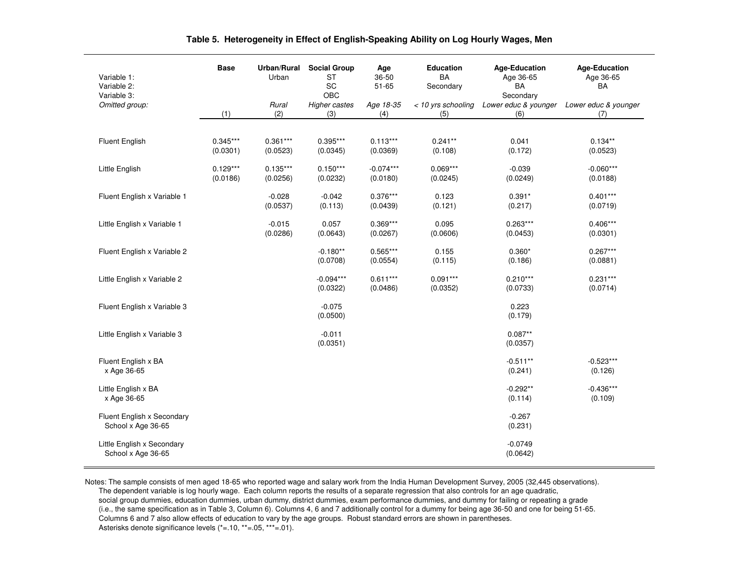| Variable 1:<br>Variable 2:<br>Variable 3:        | <b>Base</b>            | Urban/Rural<br>Urban   | <b>Social Group</b><br><b>ST</b><br>SC<br>OBC | Age<br>36-50<br>$51 - 65$ | <b>Education</b><br><b>BA</b><br>Secondary | <b>Age-Education</b><br>Age 36-65<br>BA<br>Secondary | <b>Age-Education</b><br>Age 36-65<br><b>BA</b> |
|--------------------------------------------------|------------------------|------------------------|-----------------------------------------------|---------------------------|--------------------------------------------|------------------------------------------------------|------------------------------------------------|
| Omitted group:                                   | (1)                    | Rural<br>(2)           | <b>Higher castes</b><br>(3)                   | Age 18-35<br>(4)          | < 10 yrs schooling<br>(5)                  | Lower educ & younger<br>(6)                          | Lower educ & younger<br>(7)                    |
|                                                  |                        |                        |                                               |                           |                                            |                                                      |                                                |
| <b>Fluent English</b>                            | $0.345***$<br>(0.0301) | $0.361***$<br>(0.0523) | $0.395***$<br>(0.0345)                        | $0.113***$<br>(0.0369)    | $0.241**$<br>(0.108)                       | 0.041<br>(0.172)                                     | $0.134**$<br>(0.0523)                          |
| Little English                                   | $0.129***$<br>(0.0186) | $0.135***$<br>(0.0256) | $0.150***$<br>(0.0232)                        | $-0.074***$<br>(0.0180)   | $0.069***$<br>(0.0245)                     | $-0.039$<br>(0.0249)                                 | $-0.060***$<br>(0.0188)                        |
| Fluent English x Variable 1                      |                        | $-0.028$<br>(0.0537)   | $-0.042$<br>(0.113)                           | $0.376***$<br>(0.0439)    | 0.123<br>(0.121)                           | $0.391*$<br>(0.217)                                  | $0.401***$<br>(0.0719)                         |
| Little English x Variable 1                      |                        | $-0.015$<br>(0.0286)   | 0.057<br>(0.0643)                             | $0.369***$<br>(0.0267)    | 0.095<br>(0.0606)                          | $0.263***$<br>(0.0453)                               | $0.406***$<br>(0.0301)                         |
| Fluent English x Variable 2                      |                        |                        | $-0.180**$<br>(0.0708)                        | $0.565***$<br>(0.0554)    | 0.155<br>(0.115)                           | $0.360*$<br>(0.186)                                  | $0.267***$<br>(0.0881)                         |
| Little English x Variable 2                      |                        |                        | $-0.094***$<br>(0.0322)                       | $0.611***$<br>(0.0486)    | $0.091***$<br>(0.0352)                     | $0.210***$<br>(0.0733)                               | $0.231***$<br>(0.0714)                         |
| Fluent English x Variable 3                      |                        |                        | $-0.075$<br>(0.0500)                          |                           |                                            | 0.223<br>(0.179)                                     |                                                |
| Little English x Variable 3                      |                        |                        | $-0.011$<br>(0.0351)                          |                           |                                            | $0.087**$<br>(0.0357)                                |                                                |
| Fluent English x BA<br>x Age 36-65               |                        |                        |                                               |                           |                                            | $-0.511**$<br>(0.241)                                | $-0.523***$<br>(0.126)                         |
| Little English x BA<br>x Age 36-65               |                        |                        |                                               |                           |                                            | $-0.292**$<br>(0.114)                                | $-0.436***$<br>(0.109)                         |
| Fluent English x Secondary<br>School x Age 36-65 |                        |                        |                                               |                           |                                            | $-0.267$<br>(0.231)                                  |                                                |
| Little English x Secondary<br>School x Age 36-65 |                        |                        |                                               |                           |                                            | $-0.0749$<br>(0.0642)                                |                                                |

#### **Table 5. Heterogeneity in Effect of English-Speaking Ability on Log Hourly Wages, Men**

Notes: The sample consists of men aged 18-65 who reported wage and salary work from the India Human Development Survey, 2005 (32,445 observations). The dependent variable is log hourly wage. Each column reports the results of a separate regression that also controls for an age quadratic, social group dummies, education dummies, urban dummy, district dummies, exam performance dummies, and dummy for failing or repeating a grade (i.e., the same specification as in Table 3, Column 6). Columns 4, 6 and 7 additionally control for a dummy for being age 36-50 and one for being 51-65.Columns 6 and 7 also allow effects of education to vary by the age groups. Robust standard errors are shown in parentheses. Asterisks denote significance levels (\*=.10, \*\*=.05, \*\*\*=.01).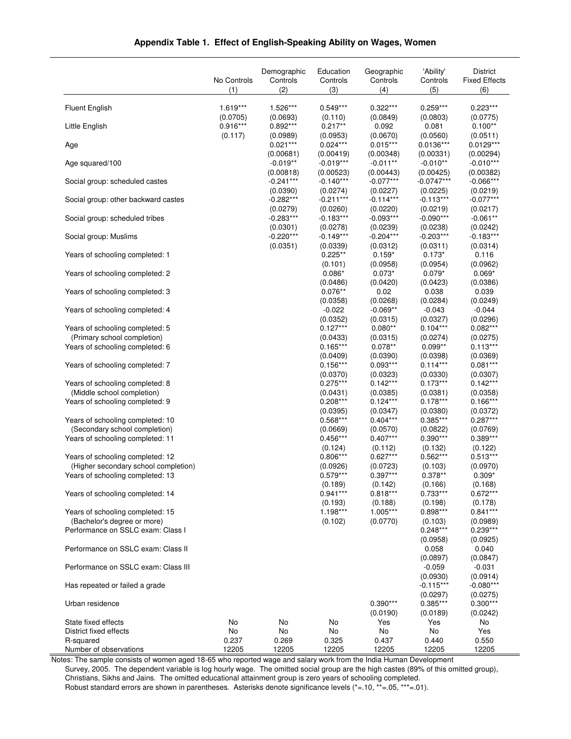|  | Appendix Table 1. Effect of English-Speaking Ability on Wages, Women |
|--|----------------------------------------------------------------------|
|  |                                                                      |

|                                                                   | No Controls<br>(1) | Demographic<br>Controls<br>(2) | Education<br>Controls<br>(3) | Geographic<br>Controls<br>(4) | 'Ability'<br>Controls<br>(5) | <b>District</b><br><b>Fixed Effects</b><br>(6) |
|-------------------------------------------------------------------|--------------------|--------------------------------|------------------------------|-------------------------------|------------------------------|------------------------------------------------|
| <b>Fluent English</b>                                             | 1.619***           | 1.526***                       | $0.549***$                   | $0.322***$                    | $0.259***$                   | $0.223***$                                     |
|                                                                   | (0.0705)           | (0.0693)                       | (0.110)                      | (0.0849)                      | (0.0803)                     | (0.0775)                                       |
| Little English                                                    | $0.916***$         | $0.892***$                     | $0.217**$                    | 0.092                         | 0.081                        | $0.100**$                                      |
|                                                                   | (0.117)            | (0.0989)                       | (0.0953)                     | (0.0670)                      | (0.0560)                     | (0.0511)                                       |
| Age                                                               |                    | $0.021***$<br>(0.00681)        | $0.024***$<br>(0.00419)      | $0.015***$<br>(0.00348)       | $0.0136***$<br>(0.00331)     | $0.0129***$<br>(0.00294)                       |
| Age squared/100                                                   |                    | $-0.019**$                     | $-0.019***$                  | $-0.011**$                    | $-0.010**$                   | $-0.010***$                                    |
|                                                                   |                    | (0.00818)                      | (0.00523)                    | (0.00443)                     | (0.00425)                    | (0.00382)                                      |
| Social group: scheduled castes                                    |                    | $-0.241***$                    | $-0.140***$                  | $-0.077***$                   | $-0.0747***$                 | $-0.066***$                                    |
| Social group: other backward castes                               |                    | (0.0390)<br>$-0.282***$        | (0.0274)<br>$-0.211***$      | (0.0227)<br>$-0.114***$       | (0.0225)<br>$-0.113***$      | (0.0219)<br>$-0.077***$                        |
|                                                                   |                    | (0.0279)                       | (0.0260)                     | (0.0220)                      | (0.0219)                     | (0.0217)                                       |
| Social group: scheduled tribes                                    |                    | $-0.283***$                    | $-0.183***$                  | $-0.093***$                   | $-0.090***$                  | $-0.061**$                                     |
|                                                                   |                    | (0.0301)                       | (0.0278)                     | (0.0239)                      | (0.0238)                     | (0.0242)                                       |
| Social group: Muslims                                             |                    | $-0.220***$<br>(0.0351)        | $-0.149***$<br>(0.0339)      | $-0.204***$<br>(0.0312)       | $-0.203***$<br>(0.0311)      | $-0.183***$<br>(0.0314)                        |
| Years of schooling completed: 1                                   |                    |                                | $0.225**$                    | $0.159*$                      | $0.173*$                     | 0.116                                          |
|                                                                   |                    |                                | (0.101)                      | (0.0958)                      | (0.0954)                     | (0.0962)                                       |
| Years of schooling completed: 2                                   |                    |                                | $0.086*$                     | $0.073*$                      | $0.079*$                     | $0.069*$                                       |
| Years of schooling completed: 3                                   |                    |                                | (0.0486)<br>$0.076**$        | (0.0420)<br>0.02              | (0.0423)<br>0.038            | (0.0386)<br>0.039                              |
|                                                                   |                    |                                | (0.0358)                     | (0.0268)                      | (0.0284)                     | (0.0249)                                       |
| Years of schooling completed: 4                                   |                    |                                | $-0.022$                     | $-0.069**$                    | $-0.043$                     | $-0.044$                                       |
|                                                                   |                    |                                | (0.0352)                     | (0.0315)                      | (0.0327)                     | (0.0296)                                       |
| Years of schooling completed: 5<br>(Primary school completion)    |                    |                                | $0.127***$                   | $0.080**$                     | $0.104***$                   | $0.082***$                                     |
| Years of schooling completed: 6                                   |                    |                                | (0.0433)<br>$0.165***$       | (0.0315)<br>$0.078**$         | (0.0274)<br>$0.099**$        | (0.0275)<br>$0.113***$                         |
|                                                                   |                    |                                | (0.0409)                     | (0.0390)                      | (0.0398)                     | (0.0369)                                       |
| Years of schooling completed: 7                                   |                    |                                | $0.156***$                   | $0.093***$                    | $0.114***$                   | $0.081***$                                     |
|                                                                   |                    |                                | (0.0370)<br>$0.275***$       | (0.0323)                      | (0.0330)<br>$0.173***$       | (0.0307)<br>$0.142***$                         |
| Years of schooling completed: 8<br>(Middle school completion)     |                    |                                | (0.0431)                     | $0.142***$<br>(0.0385)        | (0.0381)                     | (0.0358)                                       |
| Years of schooling completed: 9                                   |                    |                                | $0.208***$                   | $0.124***$                    | $0.178***$                   | $0.166***$                                     |
|                                                                   |                    |                                | (0.0395)                     | (0.0347)                      | (0.0380)                     | (0.0372)                                       |
| Years of schooling completed: 10                                  |                    |                                | $0.568***$                   | $0.404***$                    | $0.385***$                   | $0.287***$                                     |
| (Secondary school completion)<br>Years of schooling completed: 11 |                    |                                | (0.0669)<br>$0.456***$       | (0.0570)<br>$0.407***$        | (0.0822)<br>$0.390***$       | (0.0769)<br>0.389***                           |
|                                                                   |                    |                                | (0.124)                      | (0.112)                       | (0.132)                      | (0.122)                                        |
| Years of schooling completed: 12                                  |                    |                                | $0.806***$                   | $0.627***$                    | $0.562***$                   | $0.513***$                                     |
| (Higher secondary school completion)                              |                    |                                | (0.0926)                     | (0.0723)                      | (0.103)                      | (0.0970)                                       |
| Years of schooling completed: 13                                  |                    |                                | $0.579***$<br>(0.189)        | $0.397***$<br>(0.142)         | $0.378**$<br>(0.166)         | $0.309*$<br>(0.168)                            |
| Years of schooling completed: 14                                  |                    |                                | $0.941***$                   | $0.818***$                    | $0.733***$                   | $0.672***$                                     |
|                                                                   |                    |                                | (0.193)                      | (0.188)                       | (0.198)                      | (0.178)                                        |
| Years of schooling completed: 15                                  |                    |                                | 1.198***                     | 1.005***                      | $0.898***$                   | $0.841***$                                     |
| (Bachelor's degree or more)<br>Performance on SSLC exam: Class I  |                    |                                | (0.102)                      | (0.0770)                      | (0.103)<br>$0.248***$        | (0.0989)<br>$0.239***$                         |
|                                                                   |                    |                                |                              |                               | (0.0958)                     | (0.0925)                                       |
| Performance on SSLC exam: Class II                                |                    |                                |                              |                               | 0.058                        | 0.040                                          |
|                                                                   |                    |                                |                              |                               | (0.0897)                     | (0.0847)                                       |
| Performance on SSLC exam: Class III                               |                    |                                |                              |                               | $-0.059$                     | $-0.031$                                       |
| Has repeated or failed a grade                                    |                    |                                |                              |                               | (0.0930)<br>$-0.115***$      | (0.0914)<br>$-0.080***$                        |
|                                                                   |                    |                                |                              |                               | (0.0297)                     | (0.0275)                                       |
| Urban residence                                                   |                    |                                |                              | $0.390***$                    | 0.385***                     | $0.300***$                                     |
|                                                                   |                    |                                |                              | (0.0190)                      | (0.0189)                     | (0.0242)                                       |
| State fixed effects<br>District fixed effects                     | No<br>No           | No<br>No                       | No<br>No                     | Yes<br>No                     | Yes<br>No                    | No<br>Yes                                      |
| R-squared                                                         | 0.237              | 0.269                          | 0.325                        | 0.437                         | 0.440                        | 0.550                                          |
| Number of observations                                            | 12205              | 12205                          | 12205                        | 12205                         | 12205                        | 12205                                          |

Notes: The sample consists of women aged 18-65 who reported wage and salary work from the India Human Development Survey, 2005. The dependent variable is log hourly wage. The omitted social group are the high castes (89% of this omitted group), Christians, Sikhs and Jains. The omitted educational attainment group is zero years of schooling completed. Robust standard errors are shown in parentheses. Asterisks denote significance levels (\*=.10, \*\*=.05, \*\*\*=.01).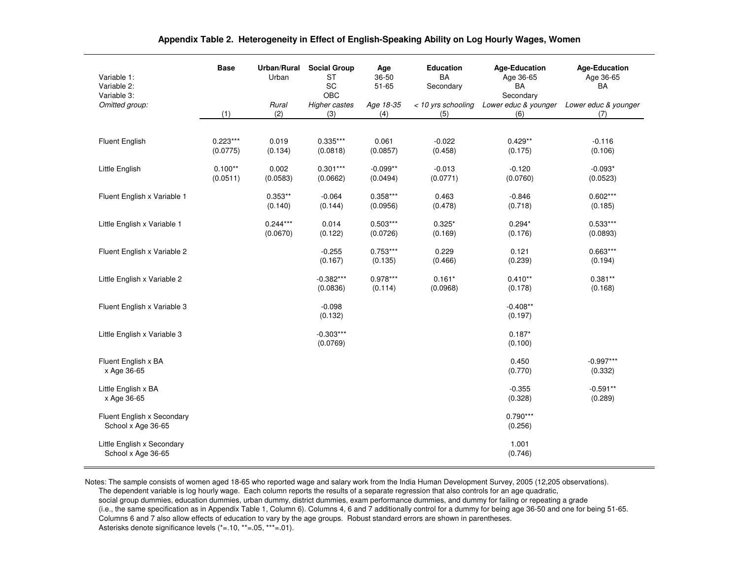| Variable 1:<br>Variable 2:<br>Variable 3:        | <b>Base</b>            | Urban/Rural<br>Urban   | <b>Social Group</b><br><b>ST</b><br>SC<br>OBC | Age<br>36-50<br>$51 - 65$ | <b>Education</b><br><b>BA</b><br>Secondary | <b>Age-Education</b><br>Age 36-65<br>BA<br>Secondary | <b>Age-Education</b><br>Age 36-65<br>BA |
|--------------------------------------------------|------------------------|------------------------|-----------------------------------------------|---------------------------|--------------------------------------------|------------------------------------------------------|-----------------------------------------|
| Omitted group:                                   | (1)                    | Rural<br>(2)           | <b>Higher castes</b><br>(3)                   | Age 18-35<br>(4)          | < 10 yrs schooling<br>(5)                  | Lower educ & younger<br>(6)                          | Lower educ & younger<br>(7)             |
|                                                  |                        |                        |                                               |                           |                                            |                                                      |                                         |
| <b>Fluent English</b>                            | $0.223***$<br>(0.0775) | 0.019<br>(0.134)       | $0.335***$<br>(0.0818)                        | 0.061<br>(0.0857)         | $-0.022$<br>(0.458)                        | $0.429**$<br>(0.175)                                 | $-0.116$<br>(0.106)                     |
| Little English                                   | $0.100**$<br>(0.0511)  | 0.002<br>(0.0583)      | $0.301***$<br>(0.0662)                        | $-0.099**$<br>(0.0494)    | $-0.013$<br>(0.0771)                       | $-0.120$<br>(0.0760)                                 | $-0.093*$<br>(0.0523)                   |
| Fluent English x Variable 1                      |                        | $0.353**$<br>(0.140)   | $-0.064$<br>(0.144)                           | $0.358***$<br>(0.0956)    | 0.463<br>(0.478)                           | $-0.846$<br>(0.718)                                  | $0.602***$<br>(0.185)                   |
| Little English x Variable 1                      |                        | $0.244***$<br>(0.0670) | 0.014<br>(0.122)                              | $0.503***$<br>(0.0726)    | $0.325*$<br>(0.169)                        | $0.294*$<br>(0.176)                                  | $0.533***$<br>(0.0893)                  |
| Fluent English x Variable 2                      |                        |                        | $-0.255$<br>(0.167)                           | $0.753***$<br>(0.135)     | 0.229<br>(0.466)                           | 0.121<br>(0.239)                                     | $0.663***$<br>(0.194)                   |
| Little English x Variable 2                      |                        |                        | $-0.382***$<br>(0.0836)                       | $0.978***$<br>(0.114)     | $0.161*$<br>(0.0968)                       | $0.410**$<br>(0.178)                                 | $0.381**$<br>(0.168)                    |
| Fluent English x Variable 3                      |                        |                        | $-0.098$<br>(0.132)                           |                           |                                            | $-0.408**$<br>(0.197)                                |                                         |
| Little English x Variable 3                      |                        |                        | $-0.303***$<br>(0.0769)                       |                           |                                            | $0.187*$<br>(0.100)                                  |                                         |
| Fluent English x BA<br>x Age 36-65               |                        |                        |                                               |                           |                                            | 0.450<br>(0.770)                                     | $-0.997***$<br>(0.332)                  |
| Little English x BA<br>x Age 36-65               |                        |                        |                                               |                           |                                            | $-0.355$<br>(0.328)                                  | $-0.591**$<br>(0.289)                   |
| Fluent English x Secondary<br>School x Age 36-65 |                        |                        |                                               |                           |                                            | $0.790***$<br>(0.256)                                |                                         |
| Little English x Secondary<br>School x Age 36-65 |                        |                        |                                               |                           |                                            | 1.001<br>(0.746)                                     |                                         |

#### **Appendix Table 2. Heterogeneity in Effect of English-Speaking Ability on Log Hourly Wages, Women**

Notes: The sample consists of women aged 18-65 who reported wage and salary work from the India Human Development Survey, 2005 (12,205 observations). The dependent variable is log hourly wage. Each column reports the results of a separate regression that also controls for an age quadratic, social group dummies, education dummies, urban dummy, district dummies, exam performance dummies, and dummy for failing or repeating a grade (i.e., the same specification as in Appendix Table 1, Column 6). Columns 4, 6 and 7 additionally control for a dummy for being age 36-50 and one for being 51-65.Columns 6 and 7 also allow effects of education to vary by the age groups. Robust standard errors are shown in parentheses. Asterisks denote significance levels (\*=.10, \*\*=.05, \*\*\*=.01).